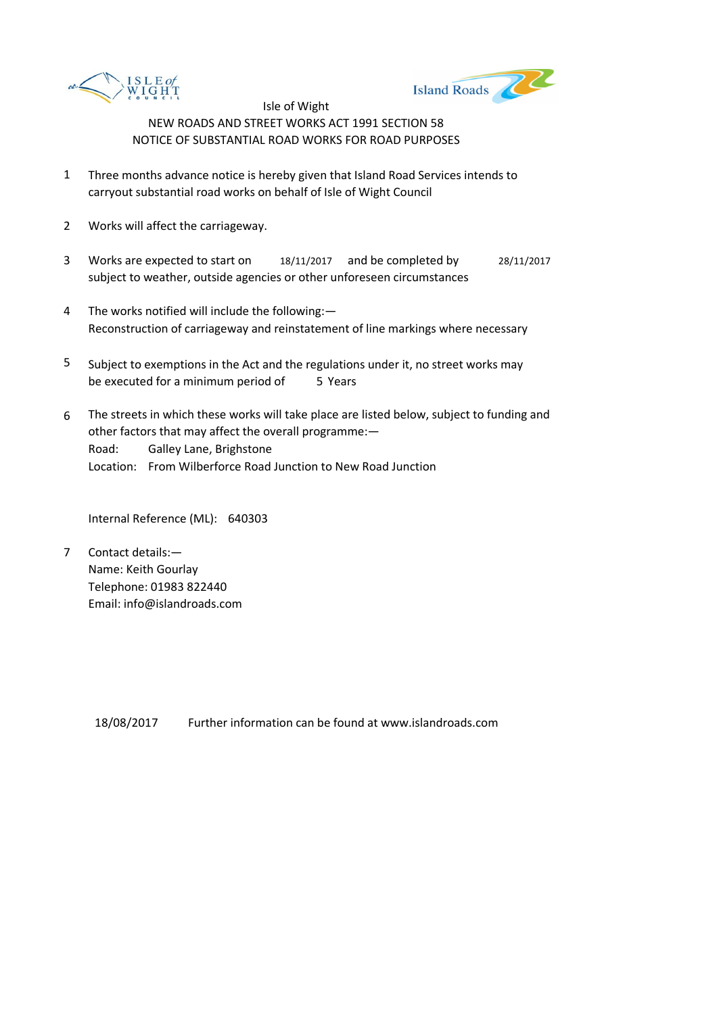



- 1 Three months advance notice is hereby given that Island Road Services intends to carryout substantial road works on behalf of Isle of Wight Council
- 2 Works will affect the carriageway.
- 3 Works are expected to start on 18/11/2017 and be completed by 28/11/2017 subject to weather, outside agencies or other unforeseen circumstances
- 4 The works notified will include the following:— Reconstruction of carriageway and reinstatement of line markings where necessary
- 5 be executed for a minimum period of 5 Years Subject to exemptions in the Act and the regulations under it, no street works may
- 6 Road: Galley Lane, Brighstone Location: From Wilberforce Road Junction to New Road Junction The streets in which these works will take place are listed below, subject to funding and other factors that may affect the overall programme:—

Internal Reference (ML): 640303

7 Contact details:— Name: Keith Gourlay Telephone: 01983 822440 Email: info@islandroads.com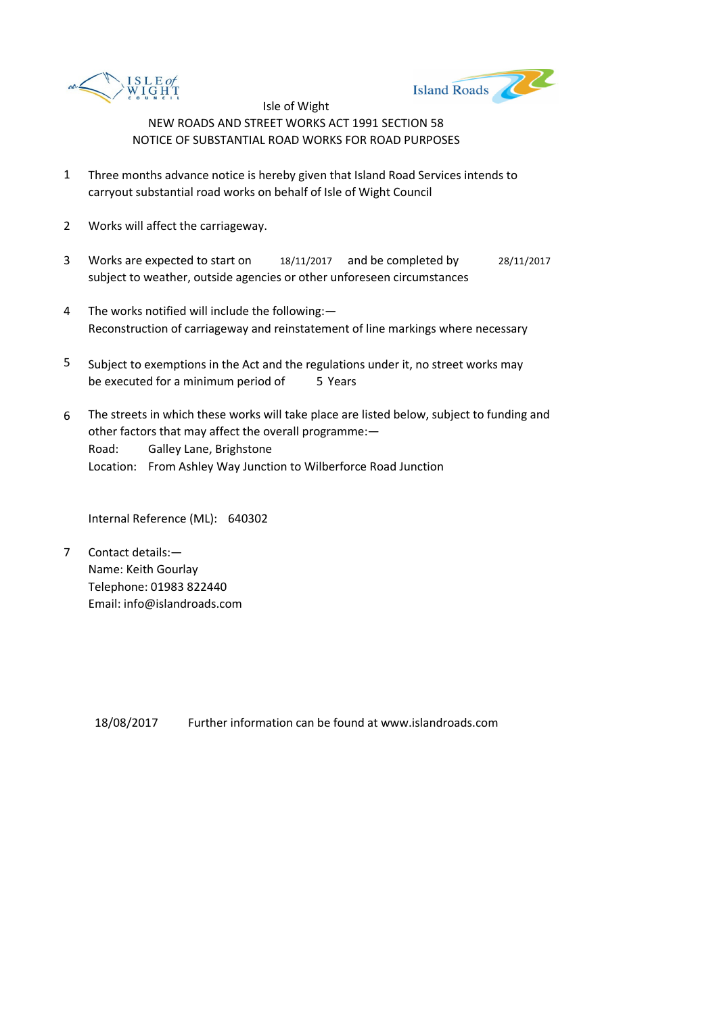



- 1 Three months advance notice is hereby given that Island Road Services intends to carryout substantial road works on behalf of Isle of Wight Council
- 2 Works will affect the carriageway.
- 3 Works are expected to start on 18/11/2017 and be completed by 28/11/2017 subject to weather, outside agencies or other unforeseen circumstances
- 4 The works notified will include the following:— Reconstruction of carriageway and reinstatement of line markings where necessary
- 5 be executed for a minimum period of 5 Years Subject to exemptions in the Act and the regulations under it, no street works may
- 6 Road: Galley Lane, Brighstone Location: From Ashley Way Junction to Wilberforce Road Junction The streets in which these works will take place are listed below, subject to funding and other factors that may affect the overall programme:—

Internal Reference (ML): 640302

7 Contact details:— Name: Keith Gourlay Telephone: 01983 822440 Email: info@islandroads.com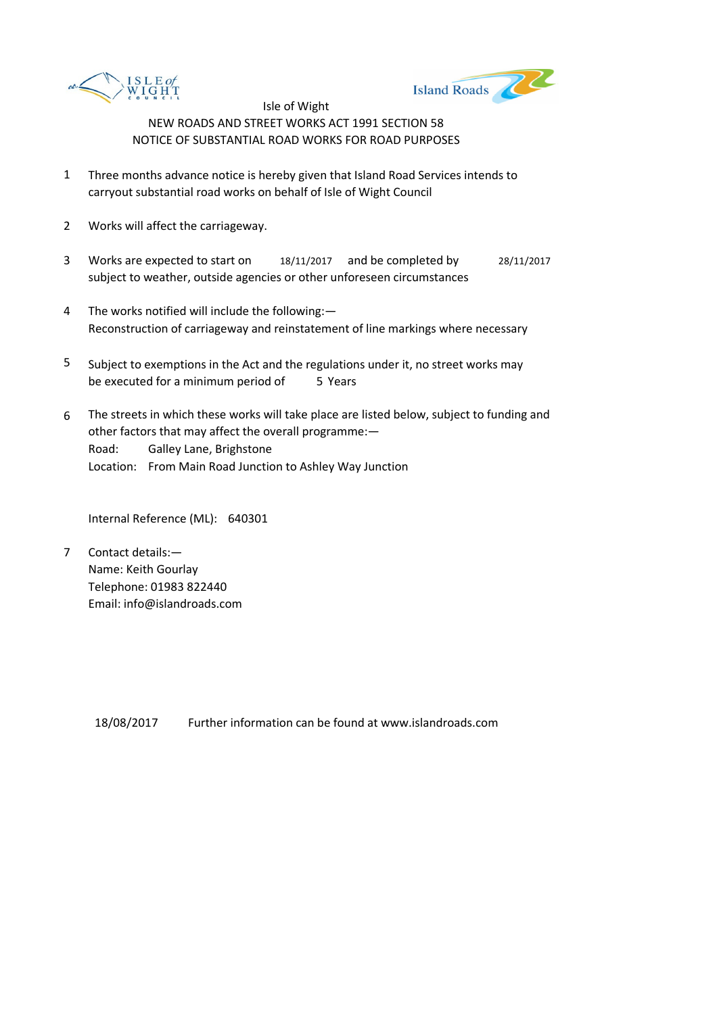



- 1 Three months advance notice is hereby given that Island Road Services intends to carryout substantial road works on behalf of Isle of Wight Council
- 2 Works will affect the carriageway.
- 3 Works are expected to start on 18/11/2017 and be completed by 28/11/2017 subject to weather, outside agencies or other unforeseen circumstances
- 4 The works notified will include the following:— Reconstruction of carriageway and reinstatement of line markings where necessary
- 5 be executed for a minimum period of 5 Years Subject to exemptions in the Act and the regulations under it, no street works may
- 6 Road: Galley Lane, Brighstone Location: From Main Road Junction to Ashley Way Junction The streets in which these works will take place are listed below, subject to funding and other factors that may affect the overall programme:—

Internal Reference (ML): 640301

7 Contact details:— Name: Keith Gourlay Telephone: 01983 822440 Email: info@islandroads.com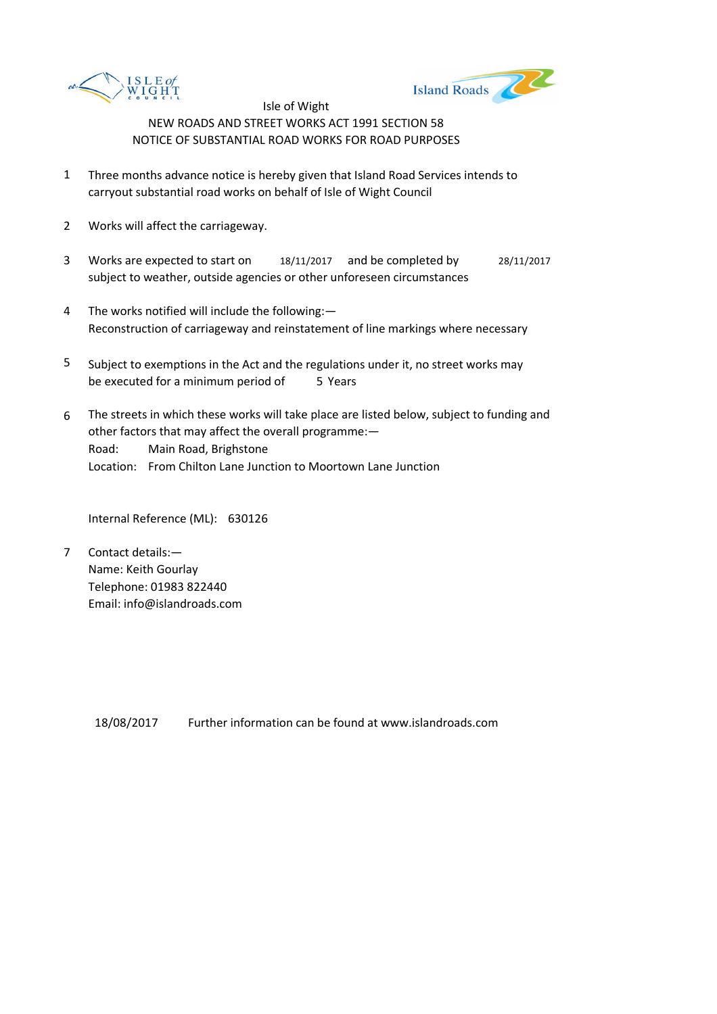



- 1 Three months advance notice is hereby given that Island Road Services intends to carryout substantial road works on behalf of Isle of Wight Council
- 2 Works will affect the carriageway.
- 3 Works are expected to start on 18/11/2017 and be completed by 28/11/2017 subject to weather, outside agencies or other unforeseen circumstances
- 4 The works notified will include the following:— Reconstruction of carriageway and reinstatement of line markings where necessary
- 5 be executed for a minimum period of 5 Years Subject to exemptions in the Act and the regulations under it, no street works may
- 6 Road: Main Road, Brighstone Location: From Chilton Lane Junction to Moortown Lane Junction The streets in which these works will take place are listed below, subject to funding and other factors that may affect the overall programme:—

Internal Reference (ML): 630126

7 Contact details:— Name: Keith Gourlay Telephone: 01983 822440 Email: info@islandroads.com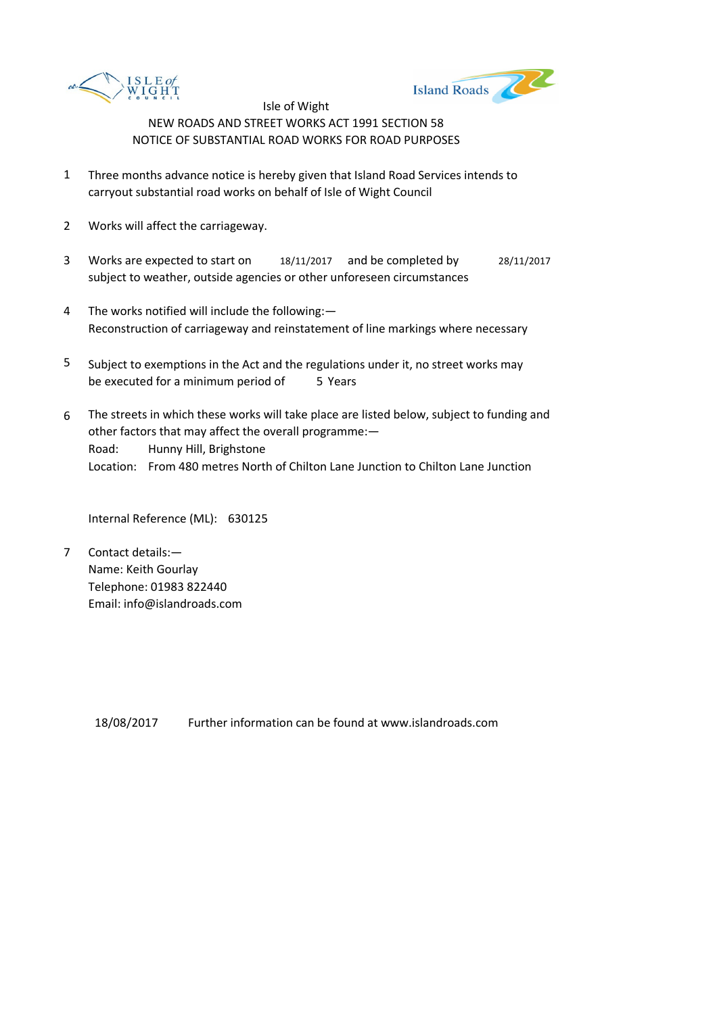



- 1 Three months advance notice is hereby given that Island Road Services intends to carryout substantial road works on behalf of Isle of Wight Council
- 2 Works will affect the carriageway.
- 3 Works are expected to start on 18/11/2017 and be completed by 28/11/2017 subject to weather, outside agencies or other unforeseen circumstances
- 4 The works notified will include the following:— Reconstruction of carriageway and reinstatement of line markings where necessary
- 5 be executed for a minimum period of 5 Years Subject to exemptions in the Act and the regulations under it, no street works may
- 6 Road: Hunny Hill, Brighstone Location: From 480 metres North of Chilton Lane Junction to Chilton Lane Junction The streets in which these works will take place are listed below, subject to funding and other factors that may affect the overall programme:—

Internal Reference (ML): 630125

7 Contact details:— Name: Keith Gourlay Telephone: 01983 822440 Email: info@islandroads.com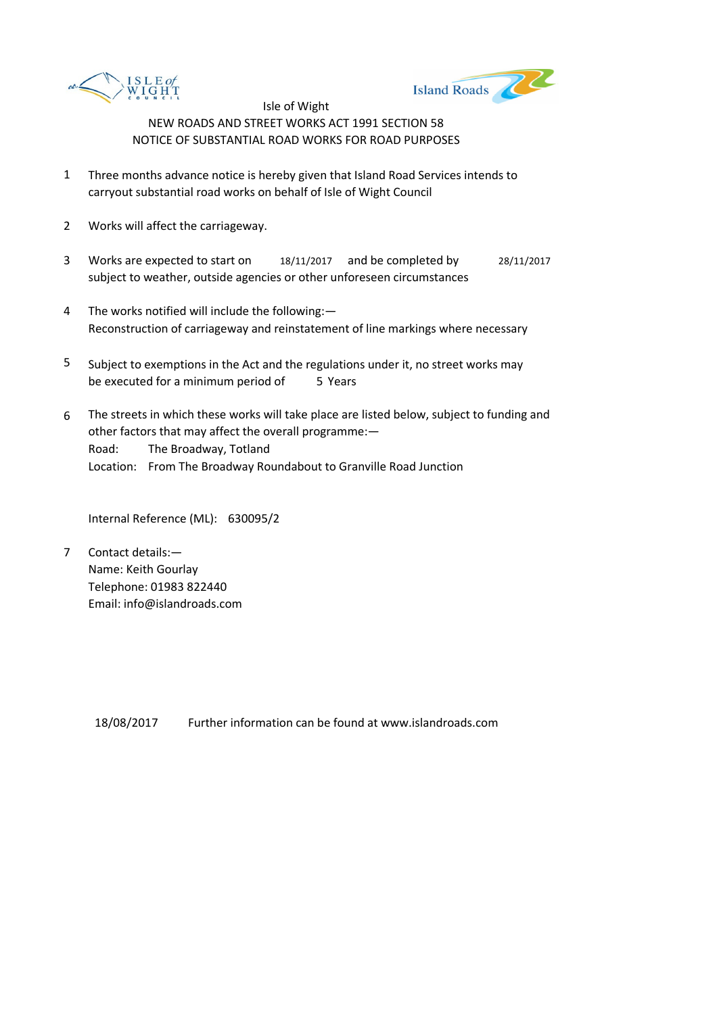



- 1 Three months advance notice is hereby given that Island Road Services intends to carryout substantial road works on behalf of Isle of Wight Council
- 2 Works will affect the carriageway.
- 3 Works are expected to start on 18/11/2017 and be completed by 28/11/2017 subject to weather, outside agencies or other unforeseen circumstances
- 4 The works notified will include the following:— Reconstruction of carriageway and reinstatement of line markings where necessary
- 5 be executed for a minimum period of 5 Years Subject to exemptions in the Act and the regulations under it, no street works may
- 6 Road: The Broadway, Totland Location: From The Broadway Roundabout to Granville Road Junction The streets in which these works will take place are listed below, subject to funding and other factors that may affect the overall programme:—

Internal Reference (ML): 630095/2

7 Contact details:— Name: Keith Gourlay Telephone: 01983 822440 Email: info@islandroads.com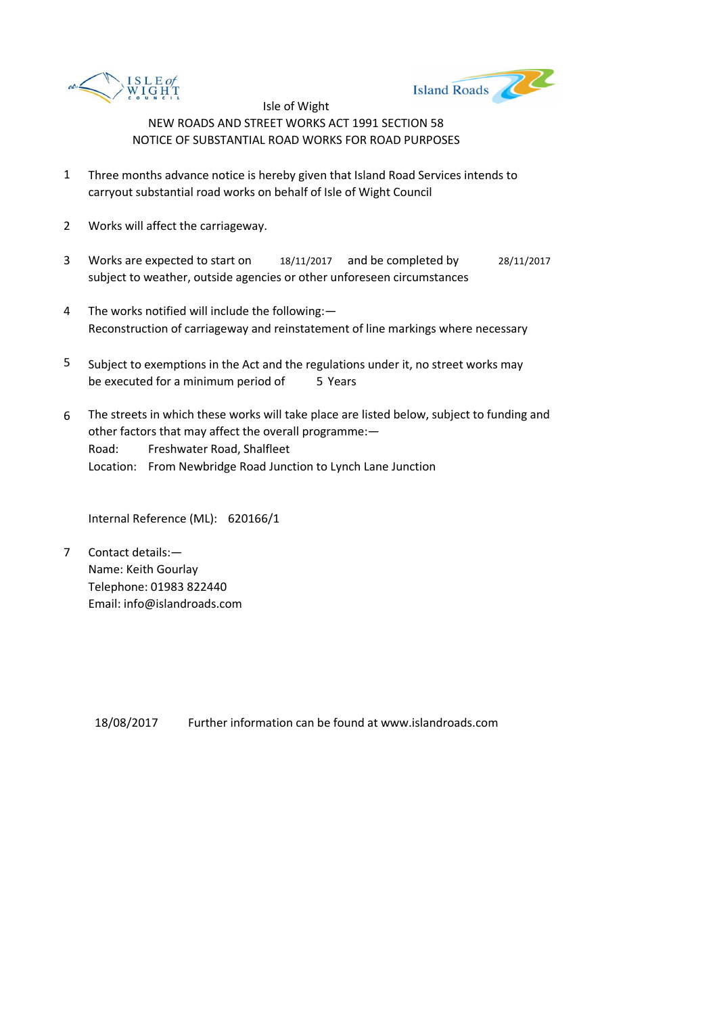



- 1 Three months advance notice is hereby given that Island Road Services intends to carryout substantial road works on behalf of Isle of Wight Council
- 2 Works will affect the carriageway.
- 3 Works are expected to start on 18/11/2017 and be completed by 28/11/2017 subject to weather, outside agencies or other unforeseen circumstances
- 4 The works notified will include the following:— Reconstruction of carriageway and reinstatement of line markings where necessary
- 5 be executed for a minimum period of 5 Years Subject to exemptions in the Act and the regulations under it, no street works may
- 6 Road: Freshwater Road, Shalfleet Location: From Newbridge Road Junction to Lynch Lane Junction The streets in which these works will take place are listed below, subject to funding and other factors that may affect the overall programme:—

Internal Reference (ML): 620166/1

7 Contact details:— Name: Keith Gourlay Telephone: 01983 822440 Email: info@islandroads.com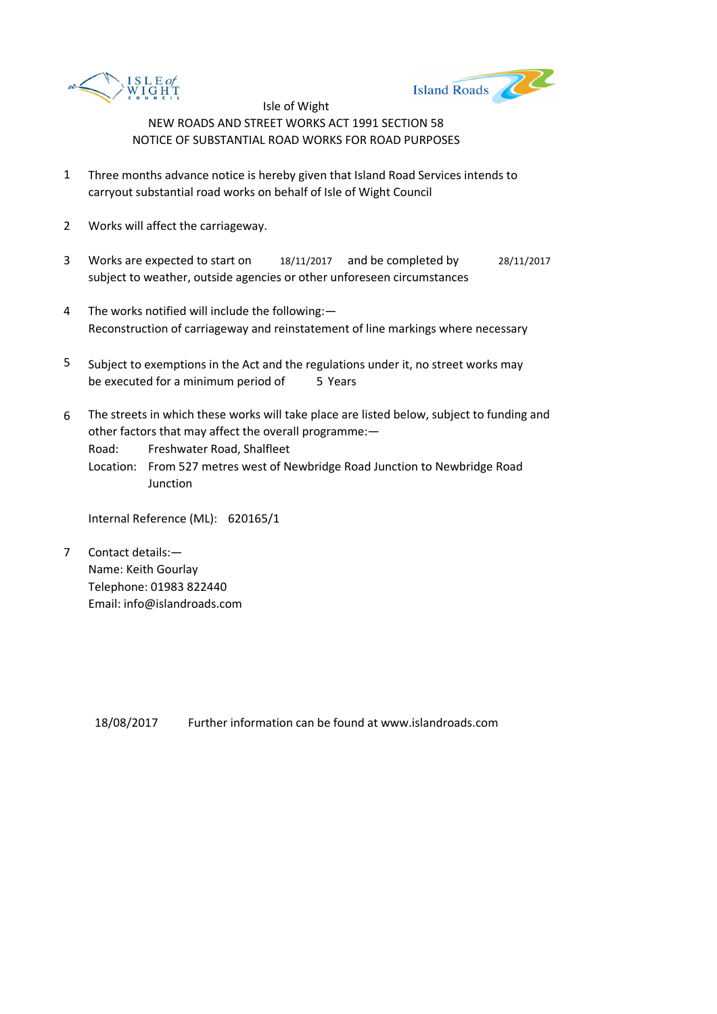



- 1 Three months advance notice is hereby given that Island Road Services intends to carryout substantial road works on behalf of Isle of Wight Council
- 2 Works will affect the carriageway.
- 3 Works are expected to start on 18/11/2017 and be completed by 28/11/2017 subject to weather, outside agencies or other unforeseen circumstances
- 4 The works notified will include the following:— Reconstruction of carriageway and reinstatement of line markings where necessary
- 5 be executed for a minimum period of 5 Years Subject to exemptions in the Act and the regulations under it, no street works may
- 6 The streets in which these works will take place are listed below, subject to funding and other factors that may affect the overall programme:—

Road: Freshwater Road, Shalfleet

Location: From 527 metres west of Newbridge Road Junction to Newbridge Road **Junction** 

Internal Reference (ML): 620165/1

7 Contact details:— Name: Keith Gourlay Telephone: 01983 822440 Email: info@islandroads.com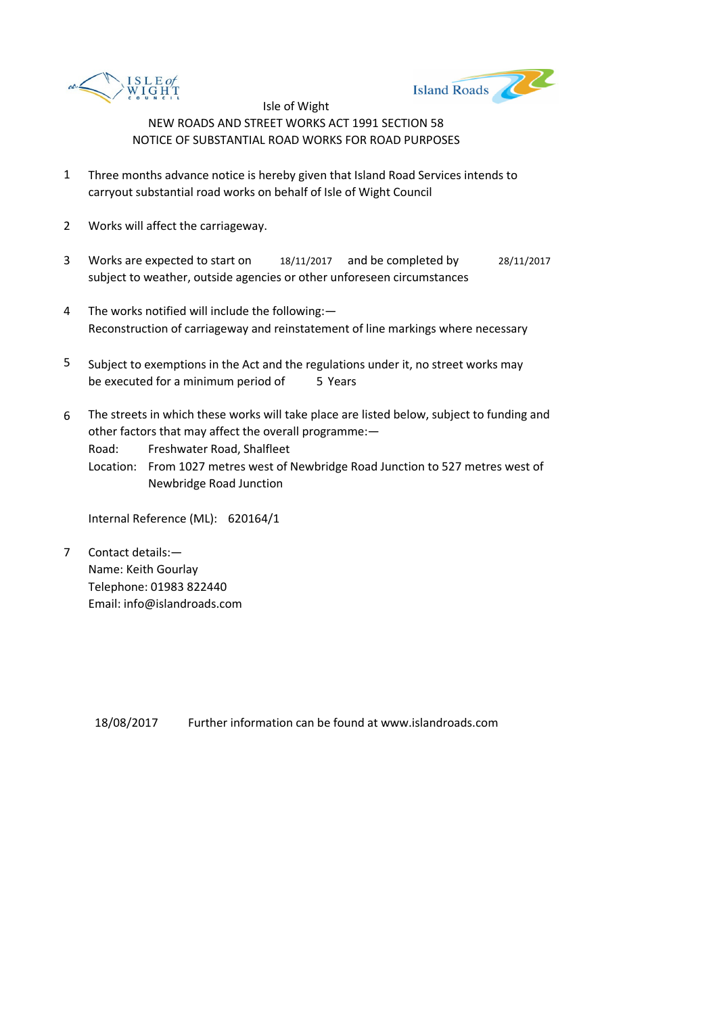



- 1 Three months advance notice is hereby given that Island Road Services intends to carryout substantial road works on behalf of Isle of Wight Council
- 2 Works will affect the carriageway.
- 3 Works are expected to start on 18/11/2017 and be completed by 28/11/2017 subject to weather, outside agencies or other unforeseen circumstances
- 4 The works notified will include the following:— Reconstruction of carriageway and reinstatement of line markings where necessary
- 5 be executed for a minimum period of 5 Years Subject to exemptions in the Act and the regulations under it, no street works may
- 6 The streets in which these works will take place are listed below, subject to funding and other factors that may affect the overall programme:—

Road: Freshwater Road, Shalfleet

Location: From 1027 metres west of Newbridge Road Junction to 527 metres west of Newbridge Road Junction

Internal Reference (ML): 620164/1

7 Contact details:— Name: Keith Gourlay Telephone: 01983 822440 Email: info@islandroads.com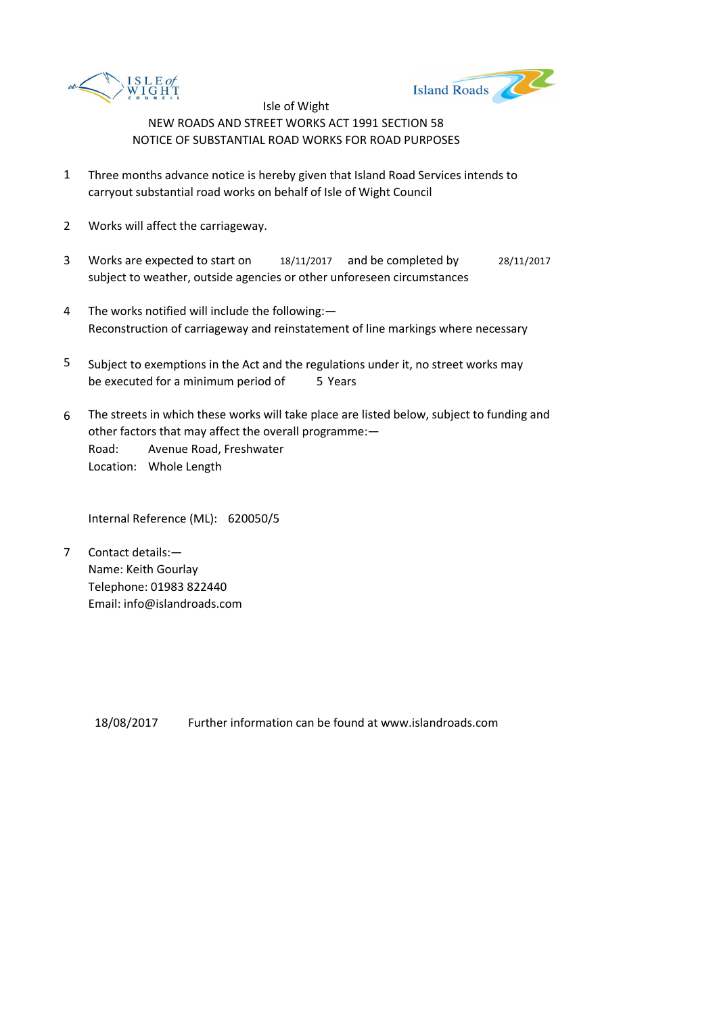



- 1 Three months advance notice is hereby given that Island Road Services intends to carryout substantial road works on behalf of Isle of Wight Council
- 2 Works will affect the carriageway.
- 3 Works are expected to start on 18/11/2017 and be completed by 28/11/2017 subject to weather, outside agencies or other unforeseen circumstances
- 4 The works notified will include the following:— Reconstruction of carriageway and reinstatement of line markings where necessary
- 5 be executed for a minimum period of 5 Years Subject to exemptions in the Act and the regulations under it, no street works may
- 6 Road: Avenue Road, Freshwater Location: Whole Length The streets in which these works will take place are listed below, subject to funding and other factors that may affect the overall programme:—

Internal Reference (ML): 620050/5

7 Contact details:— Name: Keith Gourlay Telephone: 01983 822440 Email: info@islandroads.com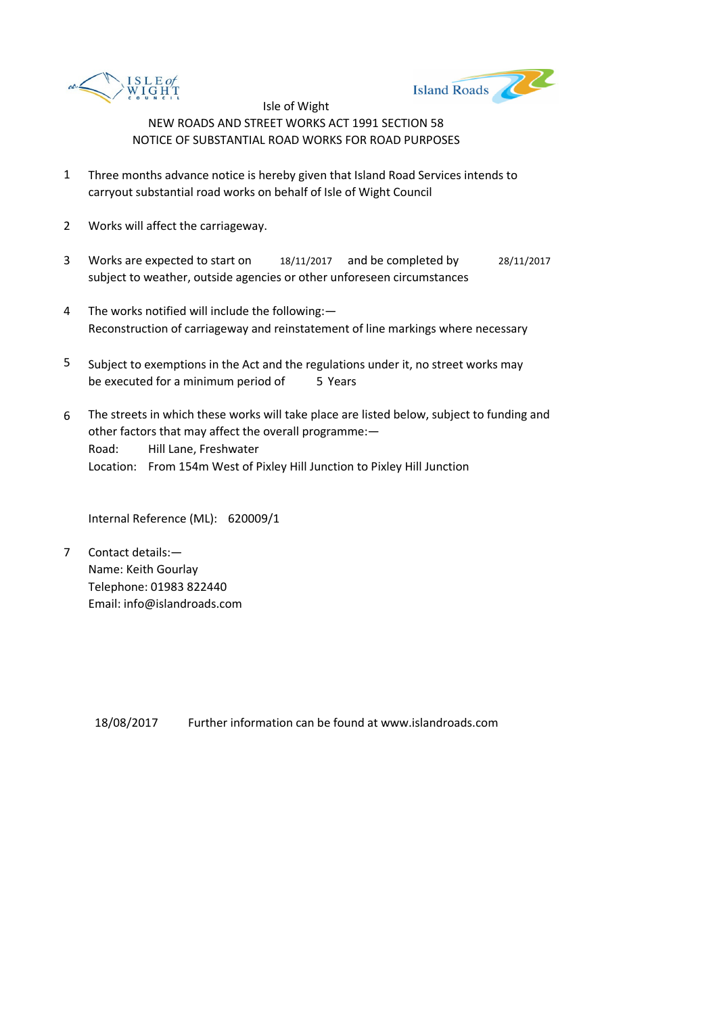



- 1 Three months advance notice is hereby given that Island Road Services intends to carryout substantial road works on behalf of Isle of Wight Council
- 2 Works will affect the carriageway.
- 3 Works are expected to start on 18/11/2017 and be completed by 28/11/2017 subject to weather, outside agencies or other unforeseen circumstances
- 4 The works notified will include the following:— Reconstruction of carriageway and reinstatement of line markings where necessary
- 5 be executed for a minimum period of 5 Years Subject to exemptions in the Act and the regulations under it, no street works may
- 6 Road: Hill Lane, Freshwater Location: From 154m West of Pixley Hill Junction to Pixley Hill Junction The streets in which these works will take place are listed below, subject to funding and other factors that may affect the overall programme:—

Internal Reference (ML): 620009/1

7 Contact details:— Name: Keith Gourlay Telephone: 01983 822440 Email: info@islandroads.com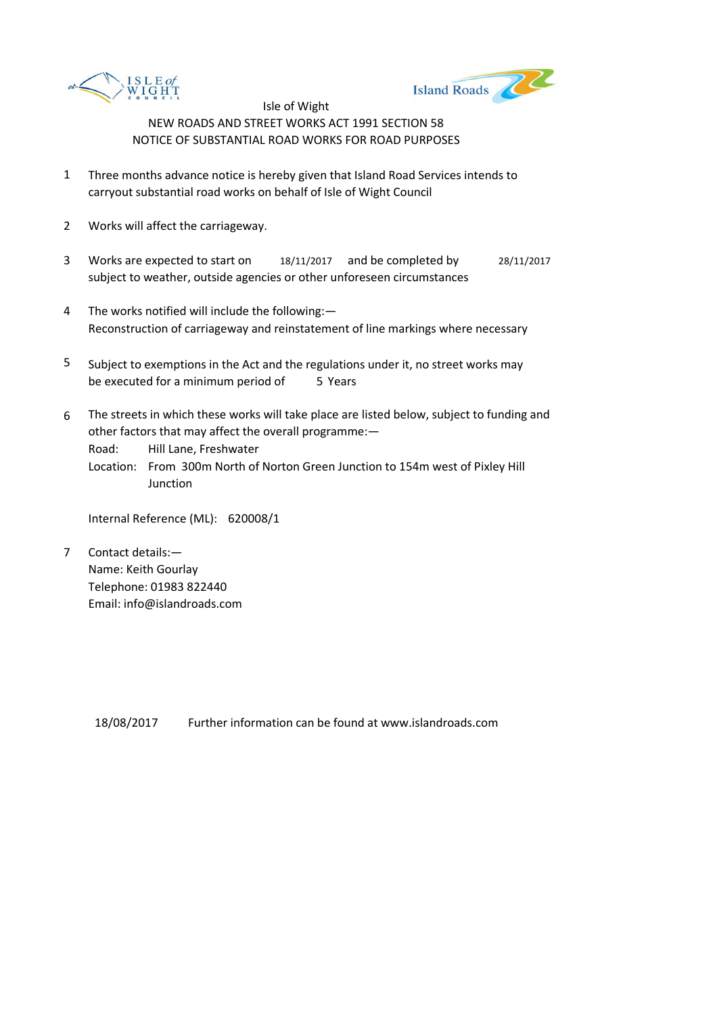



- 1 Three months advance notice is hereby given that Island Road Services intends to carryout substantial road works on behalf of Isle of Wight Council
- 2 Works will affect the carriageway.
- 3 Works are expected to start on 18/11/2017 and be completed by 28/11/2017 subject to weather, outside agencies or other unforeseen circumstances
- 4 The works notified will include the following:— Reconstruction of carriageway and reinstatement of line markings where necessary
- 5 be executed for a minimum period of 5 Years Subject to exemptions in the Act and the regulations under it, no street works may
- 6 The streets in which these works will take place are listed below, subject to funding and other factors that may affect the overall programme:—

Road: Hill Lane, Freshwater

Location: From 300m North of Norton Green Junction to 154m west of Pixley Hill **Junction** 

Internal Reference (ML): 620008/1

7 Contact details:— Name: Keith Gourlay Telephone: 01983 822440 Email: info@islandroads.com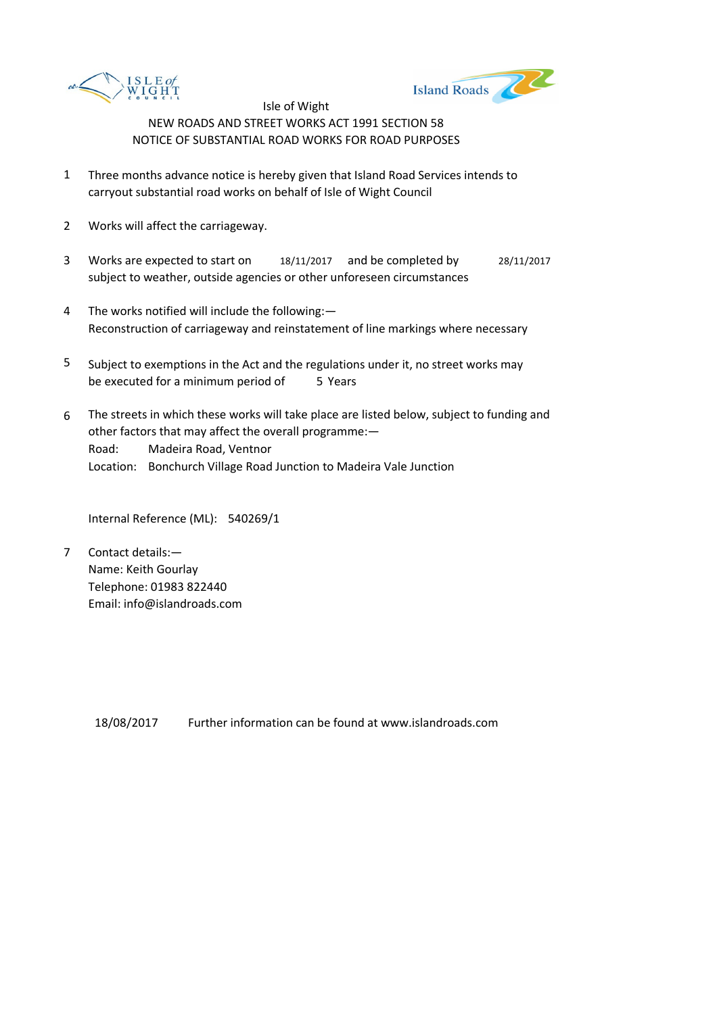



- 1 Three months advance notice is hereby given that Island Road Services intends to carryout substantial road works on behalf of Isle of Wight Council
- 2 Works will affect the carriageway.
- 3 Works are expected to start on 18/11/2017 and be completed by 28/11/2017 subject to weather, outside agencies or other unforeseen circumstances
- 4 The works notified will include the following:— Reconstruction of carriageway and reinstatement of line markings where necessary
- 5 be executed for a minimum period of 5 Years Subject to exemptions in the Act and the regulations under it, no street works may
- 6 Road: Madeira Road, Ventnor Location: Bonchurch Village Road Junction to Madeira Vale Junction The streets in which these works will take place are listed below, subject to funding and other factors that may affect the overall programme:—

Internal Reference (ML): 540269/1

7 Contact details:— Name: Keith Gourlay Telephone: 01983 822440 Email: info@islandroads.com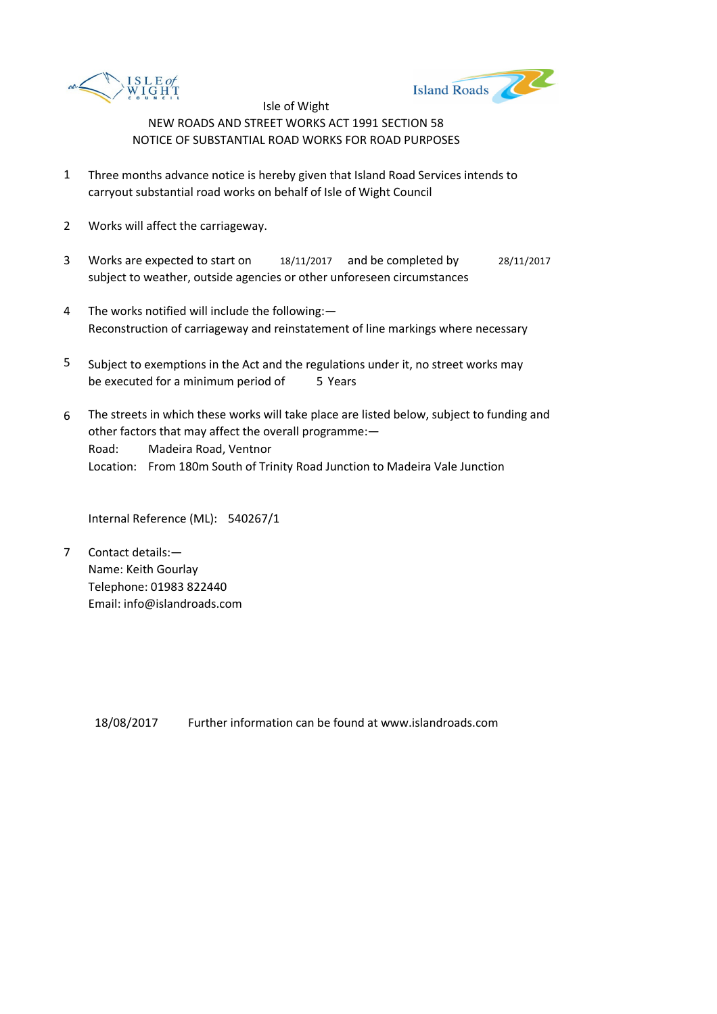



- 1 Three months advance notice is hereby given that Island Road Services intends to carryout substantial road works on behalf of Isle of Wight Council
- 2 Works will affect the carriageway.
- 3 Works are expected to start on 18/11/2017 and be completed by 28/11/2017 subject to weather, outside agencies or other unforeseen circumstances
- 4 The works notified will include the following:— Reconstruction of carriageway and reinstatement of line markings where necessary
- 5 be executed for a minimum period of 5 Years Subject to exemptions in the Act and the regulations under it, no street works may
- 6 Road: Madeira Road, Ventnor Location: From 180m South of Trinity Road Junction to Madeira Vale Junction The streets in which these works will take place are listed below, subject to funding and other factors that may affect the overall programme:—

Internal Reference (ML): 540267/1

7 Contact details:— Name: Keith Gourlay Telephone: 01983 822440 Email: info@islandroads.com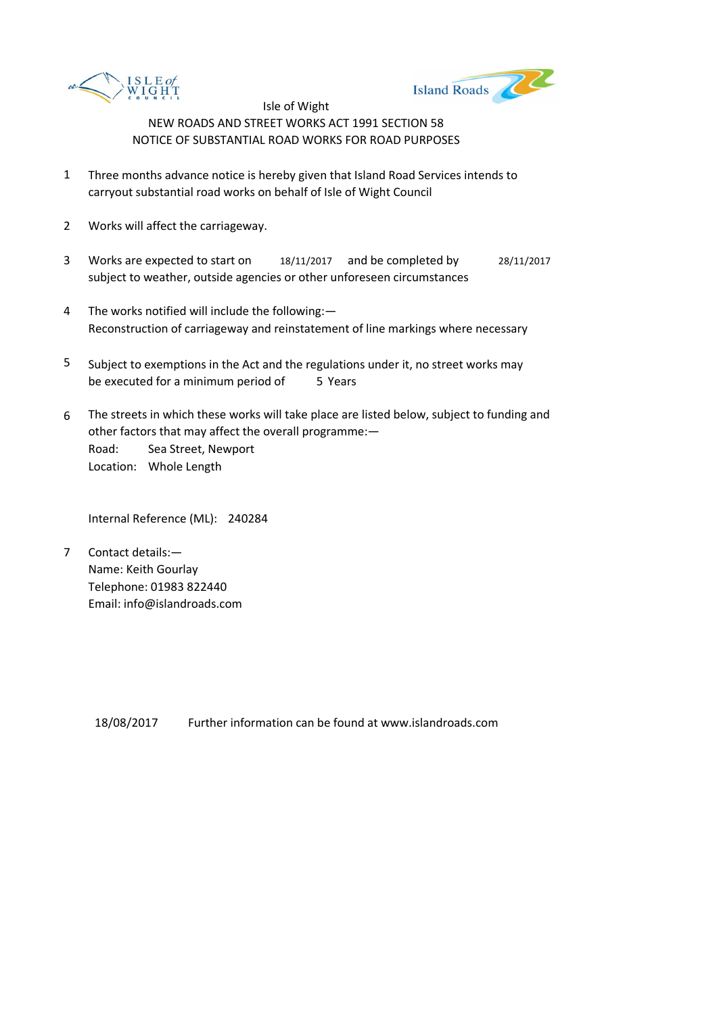



- 1 Three months advance notice is hereby given that Island Road Services intends to carryout substantial road works on behalf of Isle of Wight Council
- 2 Works will affect the carriageway.
- 3 Works are expected to start on 18/11/2017 and be completed by 28/11/2017 subject to weather, outside agencies or other unforeseen circumstances
- 4 The works notified will include the following:— Reconstruction of carriageway and reinstatement of line markings where necessary
- 5 be executed for a minimum period of 5 Years Subject to exemptions in the Act and the regulations under it, no street works may
- 6 Road: Sea Street, Newport Location: Whole Length The streets in which these works will take place are listed below, subject to funding and other factors that may affect the overall programme:—

Internal Reference (ML): 240284

7 Contact details:— Name: Keith Gourlay Telephone: 01983 822440 Email: info@islandroads.com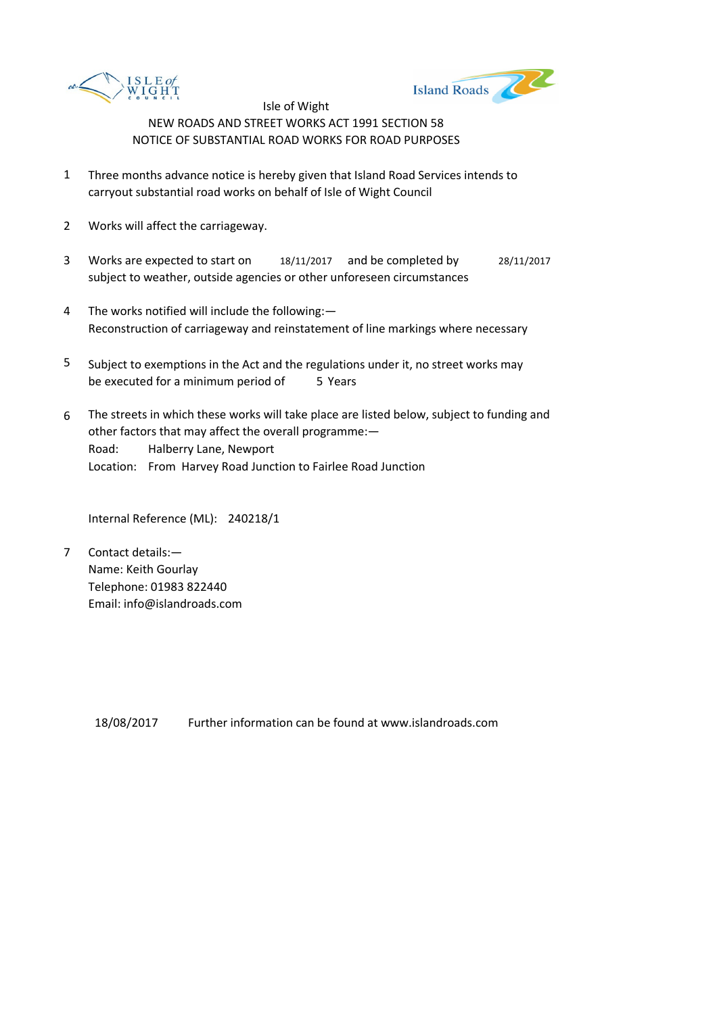



- 1 Three months advance notice is hereby given that Island Road Services intends to carryout substantial road works on behalf of Isle of Wight Council
- 2 Works will affect the carriageway.
- 3 Works are expected to start on 18/11/2017 and be completed by 28/11/2017 subject to weather, outside agencies or other unforeseen circumstances
- 4 The works notified will include the following:— Reconstruction of carriageway and reinstatement of line markings where necessary
- 5 be executed for a minimum period of 5 Years Subject to exemptions in the Act and the regulations under it, no street works may
- 6 Road: Halberry Lane, Newport Location: From Harvey Road Junction to Fairlee Road Junction The streets in which these works will take place are listed below, subject to funding and other factors that may affect the overall programme:—

Internal Reference (ML): 240218/1

7 Contact details:— Name: Keith Gourlay Telephone: 01983 822440 Email: info@islandroads.com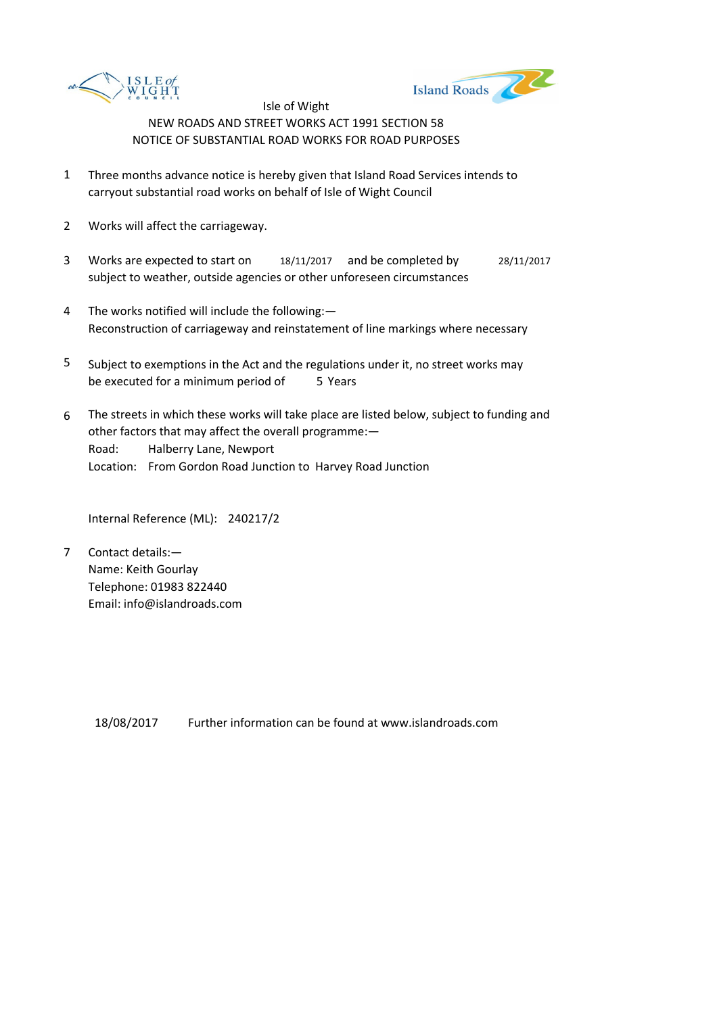



- 1 Three months advance notice is hereby given that Island Road Services intends to carryout substantial road works on behalf of Isle of Wight Council
- 2 Works will affect the carriageway.
- 3 Works are expected to start on 18/11/2017 and be completed by 28/11/2017 subject to weather, outside agencies or other unforeseen circumstances
- 4 The works notified will include the following:— Reconstruction of carriageway and reinstatement of line markings where necessary
- 5 be executed for a minimum period of 5 Years Subject to exemptions in the Act and the regulations under it, no street works may
- 6 Road: Halberry Lane, Newport Location: From Gordon Road Junction to Harvey Road Junction The streets in which these works will take place are listed below, subject to funding and other factors that may affect the overall programme:—

Internal Reference (ML): 240217/2

7 Contact details:— Name: Keith Gourlay Telephone: 01983 822440 Email: info@islandroads.com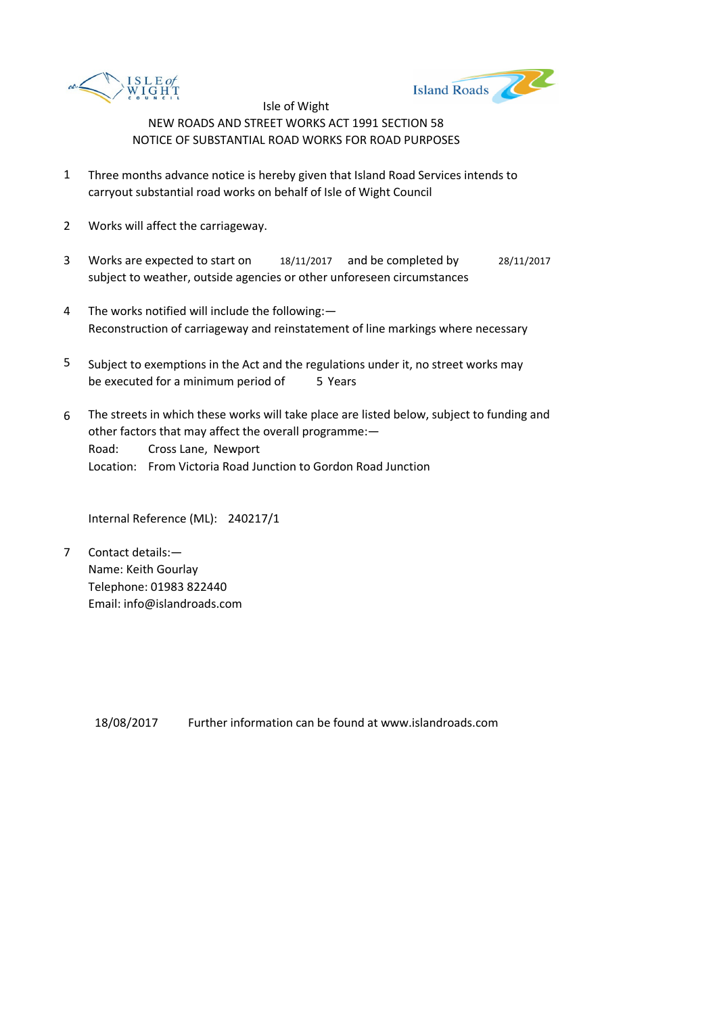



- 1 Three months advance notice is hereby given that Island Road Services intends to carryout substantial road works on behalf of Isle of Wight Council
- 2 Works will affect the carriageway.
- 3 Works are expected to start on 18/11/2017 and be completed by 28/11/2017 subject to weather, outside agencies or other unforeseen circumstances
- 4 The works notified will include the following:— Reconstruction of carriageway and reinstatement of line markings where necessary
- 5 be executed for a minimum period of 5 Years Subject to exemptions in the Act and the regulations under it, no street works may
- 6 Road: Cross Lane, Newport Location: From Victoria Road Junction to Gordon Road Junction The streets in which these works will take place are listed below, subject to funding and other factors that may affect the overall programme:—

Internal Reference (ML): 240217/1

7 Contact details:— Name: Keith Gourlay Telephone: 01983 822440 Email: info@islandroads.com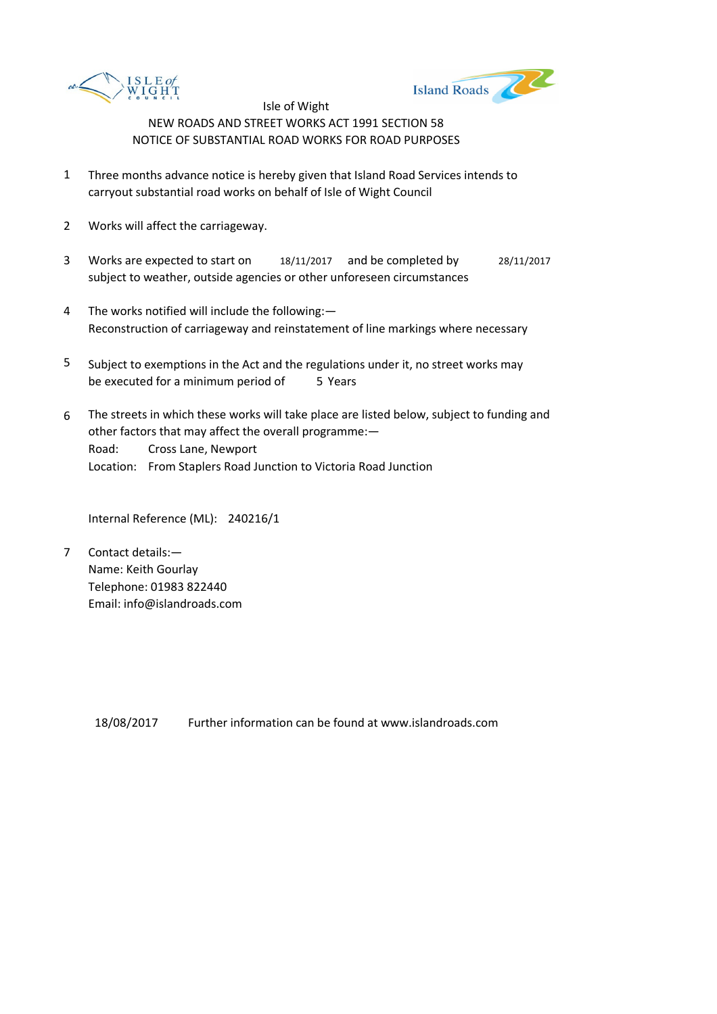



- 1 Three months advance notice is hereby given that Island Road Services intends to carryout substantial road works on behalf of Isle of Wight Council
- 2 Works will affect the carriageway.
- 3 Works are expected to start on 18/11/2017 and be completed by 28/11/2017 subject to weather, outside agencies or other unforeseen circumstances
- 4 The works notified will include the following:— Reconstruction of carriageway and reinstatement of line markings where necessary
- 5 be executed for a minimum period of 5 Years Subject to exemptions in the Act and the regulations under it, no street works may
- 6 Road: Cross Lane, Newport Location: From Staplers Road Junction to Victoria Road Junction The streets in which these works will take place are listed below, subject to funding and other factors that may affect the overall programme:—

Internal Reference (ML): 240216/1

7 Contact details:— Name: Keith Gourlay Telephone: 01983 822440 Email: info@islandroads.com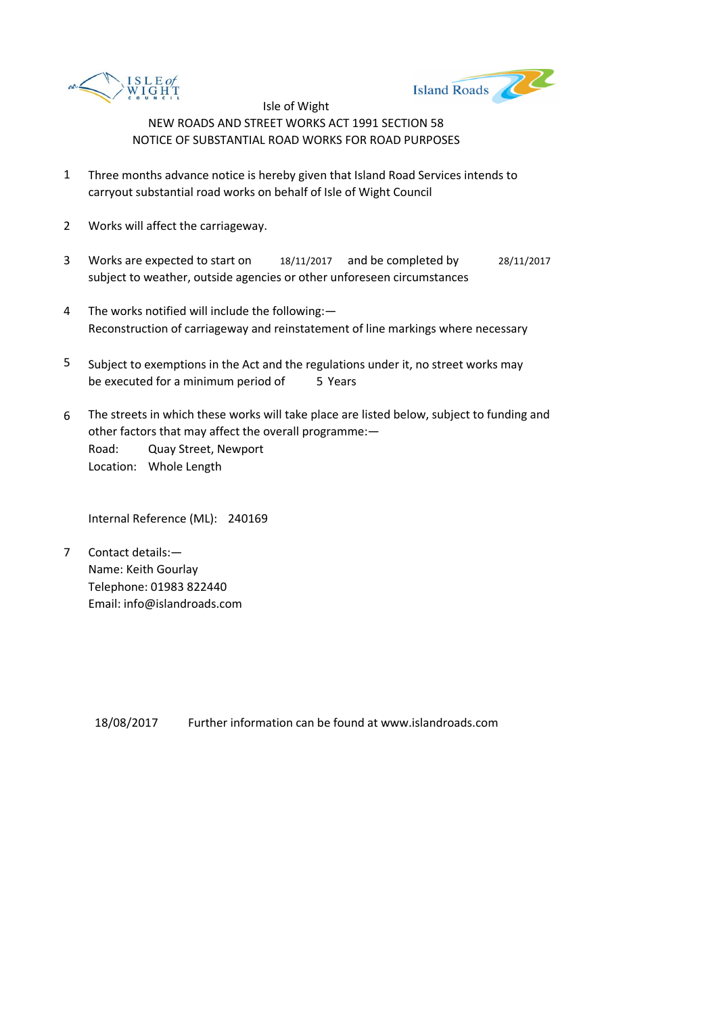



- 1 Three months advance notice is hereby given that Island Road Services intends to carryout substantial road works on behalf of Isle of Wight Council
- 2 Works will affect the carriageway.
- 3 Works are expected to start on 18/11/2017 and be completed by 28/11/2017 subject to weather, outside agencies or other unforeseen circumstances
- 4 The works notified will include the following:— Reconstruction of carriageway and reinstatement of line markings where necessary
- 5 be executed for a minimum period of 5 Years Subject to exemptions in the Act and the regulations under it, no street works may
- 6 Road: Quay Street, Newport Location: Whole Length The streets in which these works will take place are listed below, subject to funding and other factors that may affect the overall programme:—

Internal Reference (ML): 240169

7 Contact details:— Name: Keith Gourlay Telephone: 01983 822440 Email: info@islandroads.com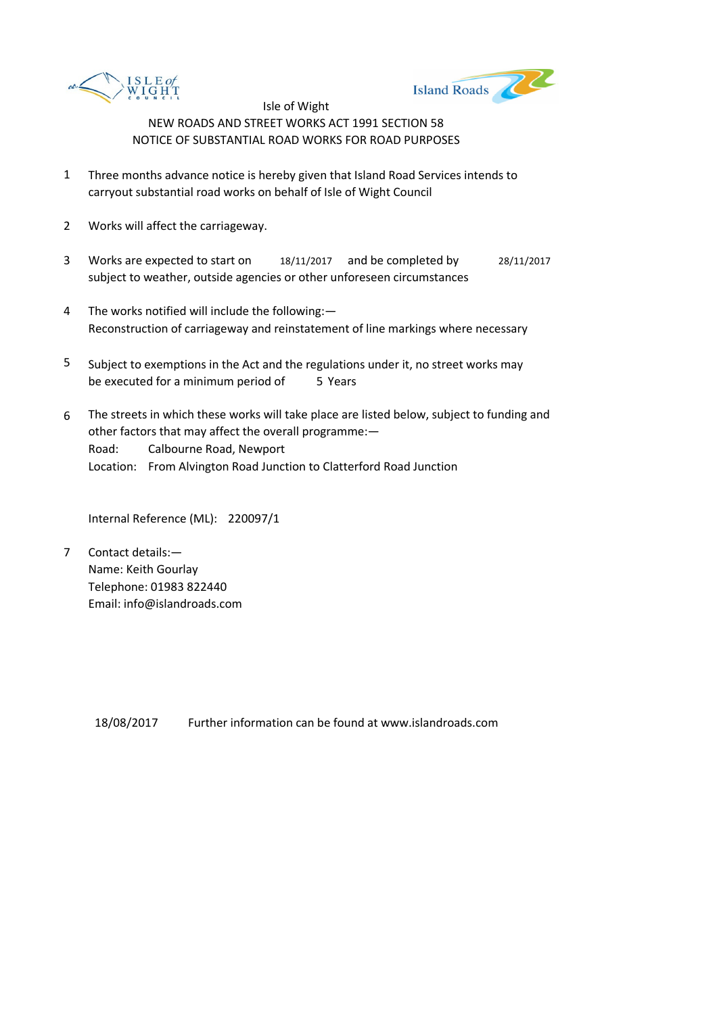



- 1 Three months advance notice is hereby given that Island Road Services intends to carryout substantial road works on behalf of Isle of Wight Council
- 2 Works will affect the carriageway.
- 3 Works are expected to start on 18/11/2017 and be completed by 28/11/2017 subject to weather, outside agencies or other unforeseen circumstances
- 4 The works notified will include the following:— Reconstruction of carriageway and reinstatement of line markings where necessary
- 5 be executed for a minimum period of 5 Years Subject to exemptions in the Act and the regulations under it, no street works may
- 6 Road: Calbourne Road, Newport Location: From Alvington Road Junction to Clatterford Road Junction The streets in which these works will take place are listed below, subject to funding and other factors that may affect the overall programme:—

Internal Reference (ML): 220097/1

7 Contact details:— Name: Keith Gourlay Telephone: 01983 822440 Email: info@islandroads.com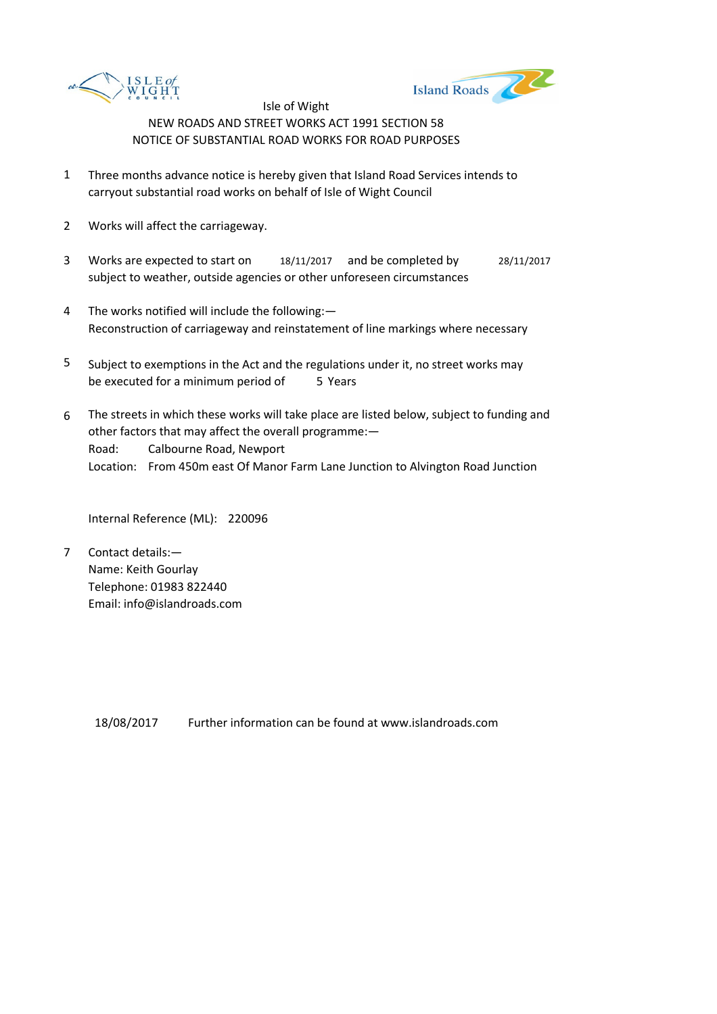



- 1 Three months advance notice is hereby given that Island Road Services intends to carryout substantial road works on behalf of Isle of Wight Council
- 2 Works will affect the carriageway.
- 3 Works are expected to start on 18/11/2017 and be completed by 28/11/2017 subject to weather, outside agencies or other unforeseen circumstances
- 4 The works notified will include the following:— Reconstruction of carriageway and reinstatement of line markings where necessary
- 5 be executed for a minimum period of 5 Years Subject to exemptions in the Act and the regulations under it, no street works may
- 6 Road: Calbourne Road, Newport Location: From 450m east Of Manor Farm Lane Junction to Alvington Road Junction The streets in which these works will take place are listed below, subject to funding and other factors that may affect the overall programme:—

Internal Reference (ML): 220096

7 Contact details:— Name: Keith Gourlay Telephone: 01983 822440 Email: info@islandroads.com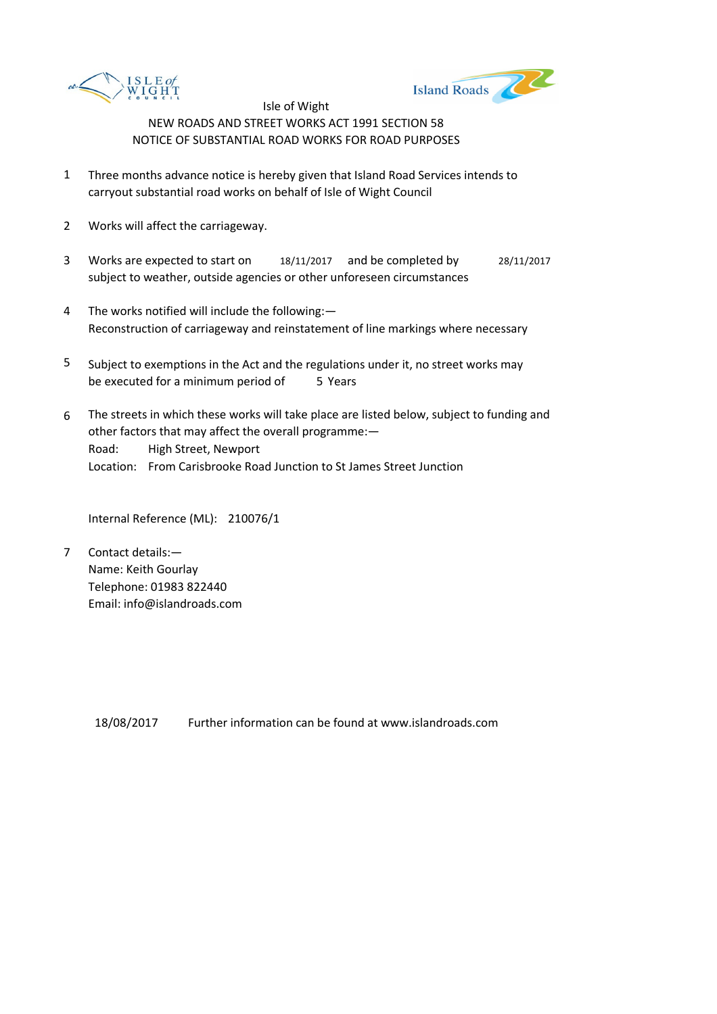



- 1 Three months advance notice is hereby given that Island Road Services intends to carryout substantial road works on behalf of Isle of Wight Council
- 2 Works will affect the carriageway.
- 3 Works are expected to start on 18/11/2017 and be completed by 28/11/2017 subject to weather, outside agencies or other unforeseen circumstances
- 4 The works notified will include the following:— Reconstruction of carriageway and reinstatement of line markings where necessary
- 5 be executed for a minimum period of 5 Years Subject to exemptions in the Act and the regulations under it, no street works may
- 6 Road: High Street, Newport Location: From Carisbrooke Road Junction to St James Street Junction The streets in which these works will take place are listed below, subject to funding and other factors that may affect the overall programme:—

Internal Reference (ML): 210076/1

7 Contact details:— Name: Keith Gourlay Telephone: 01983 822440 Email: info@islandroads.com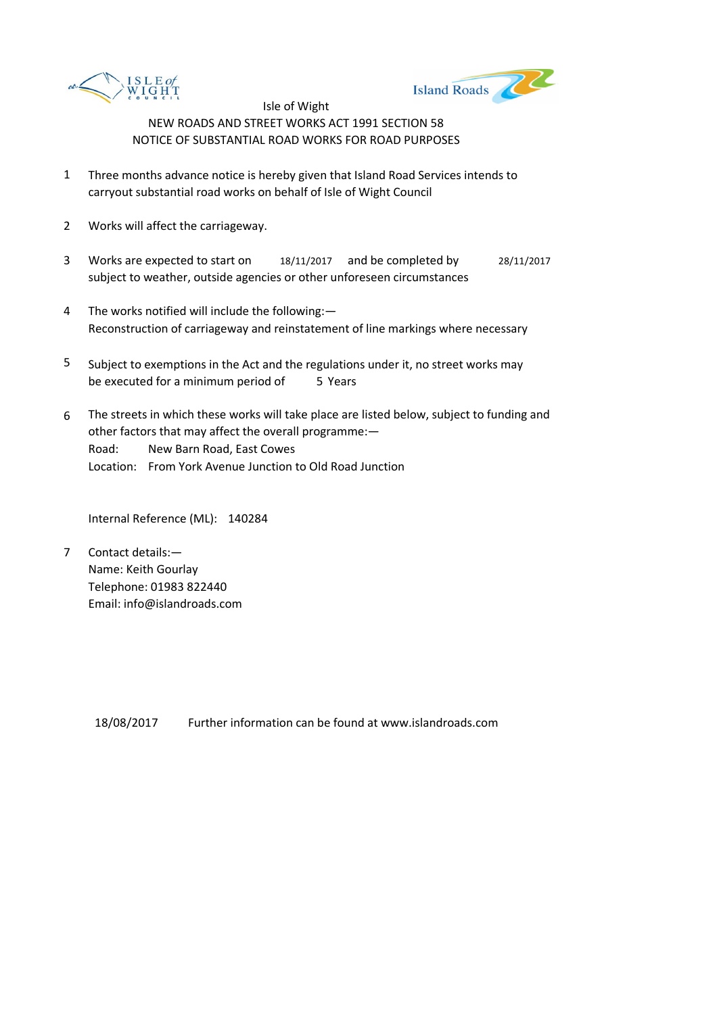



- 1 Three months advance notice is hereby given that Island Road Services intends to carryout substantial road works on behalf of Isle of Wight Council
- 2 Works will affect the carriageway.
- 3 Works are expected to start on 18/11/2017 and be completed by 28/11/2017 subject to weather, outside agencies or other unforeseen circumstances
- 4 The works notified will include the following:— Reconstruction of carriageway and reinstatement of line markings where necessary
- 5 be executed for a minimum period of 5 Years Subject to exemptions in the Act and the regulations under it, no street works may
- 6 Road: New Barn Road, East Cowes Location: From York Avenue Junction to Old Road Junction The streets in which these works will take place are listed below, subject to funding and other factors that may affect the overall programme:—

Internal Reference (ML): 140284

7 Contact details:— Name: Keith Gourlay Telephone: 01983 822440 Email: info@islandroads.com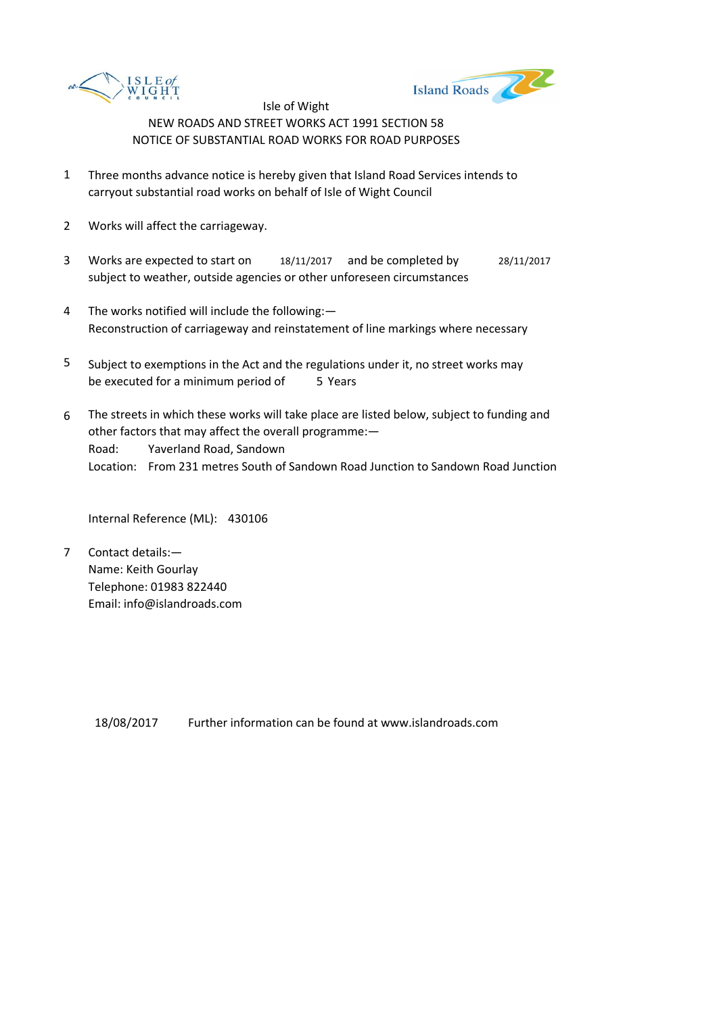



- 1 Three months advance notice is hereby given that Island Road Services intends to carryout substantial road works on behalf of Isle of Wight Council
- 2 Works will affect the carriageway.
- 3 Works are expected to start on 18/11/2017 and be completed by 28/11/2017 subject to weather, outside agencies or other unforeseen circumstances
- 4 The works notified will include the following:— Reconstruction of carriageway and reinstatement of line markings where necessary
- 5 be executed for a minimum period of 5 Years Subject to exemptions in the Act and the regulations under it, no street works may
- 6 Road: Yaverland Road, Sandown Location: From 231 metres South of Sandown Road Junction to Sandown Road Junction The streets in which these works will take place are listed below, subject to funding and other factors that may affect the overall programme:—

Internal Reference (ML): 430106

7 Contact details:— Name: Keith Gourlay Telephone: 01983 822440 Email: info@islandroads.com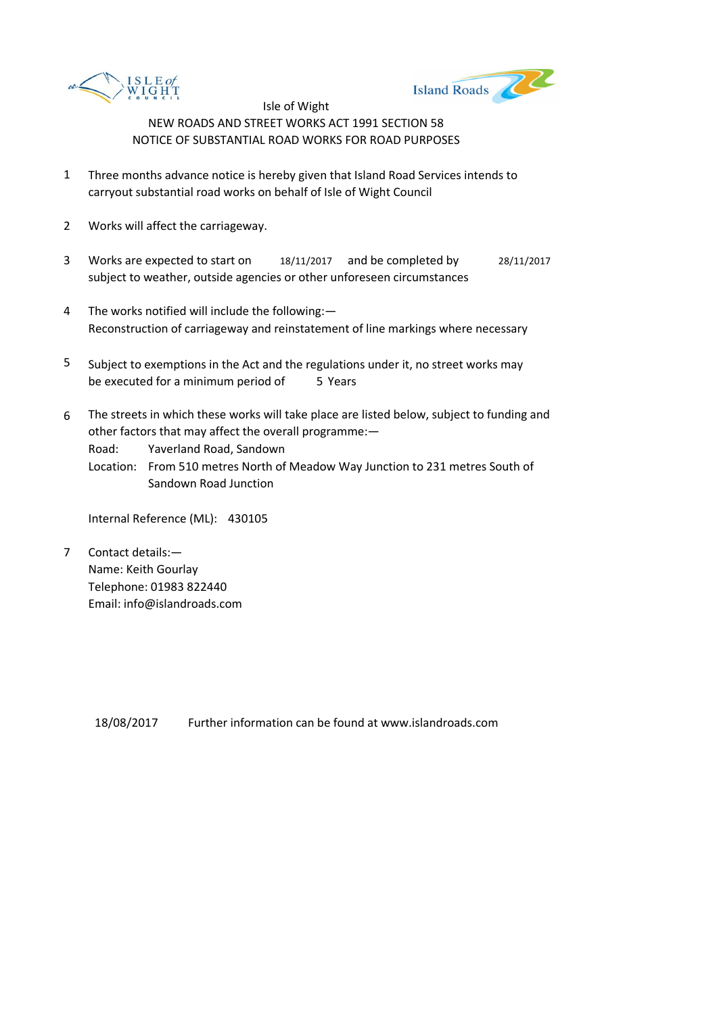



- 1 Three months advance notice is hereby given that Island Road Services intends to carryout substantial road works on behalf of Isle of Wight Council
- 2 Works will affect the carriageway.
- 3 Works are expected to start on 18/11/2017 and be completed by 28/11/2017 subject to weather, outside agencies or other unforeseen circumstances
- 4 The works notified will include the following:— Reconstruction of carriageway and reinstatement of line markings where necessary
- 5 be executed for a minimum period of 5 Years Subject to exemptions in the Act and the regulations under it, no street works may
- 6 The streets in which these works will take place are listed below, subject to funding and other factors that may affect the overall programme:—

Road: Yaverland Road, Sandown

Location: From 510 metres North of Meadow Way Junction to 231 metres South of Sandown Road Junction

Internal Reference (ML): 430105

7 Contact details:— Name: Keith Gourlay Telephone: 01983 822440 Email: info@islandroads.com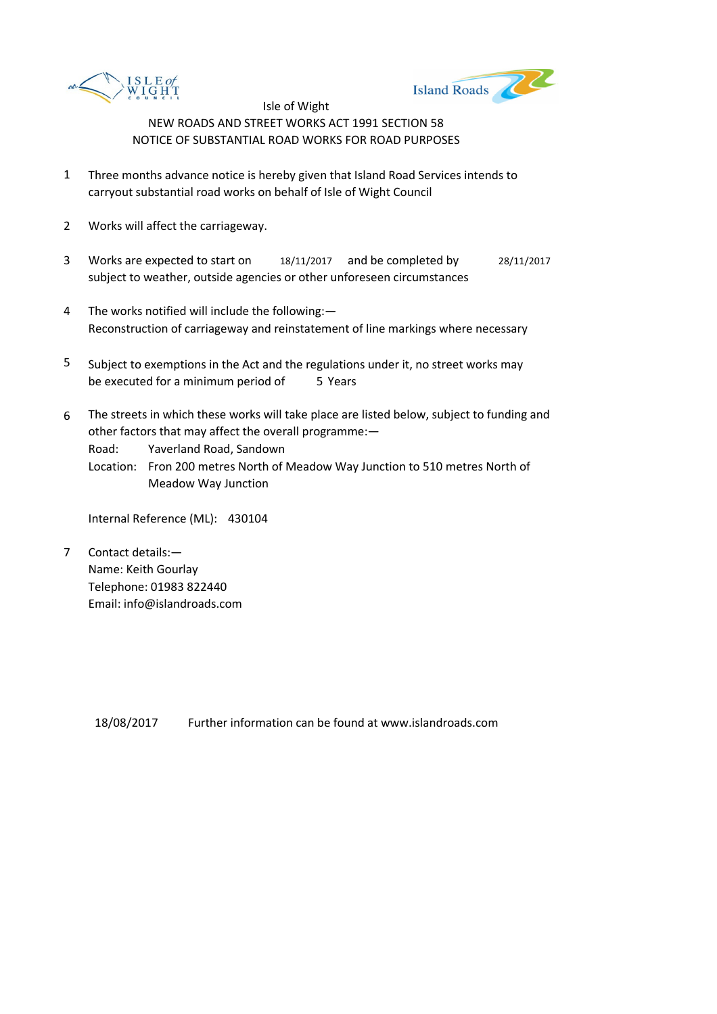



- 1 Three months advance notice is hereby given that Island Road Services intends to carryout substantial road works on behalf of Isle of Wight Council
- 2 Works will affect the carriageway.
- 3 Works are expected to start on 18/11/2017 and be completed by 28/11/2017 subject to weather, outside agencies or other unforeseen circumstances
- 4 The works notified will include the following:— Reconstruction of carriageway and reinstatement of line markings where necessary
- 5 be executed for a minimum period of 5 Years Subject to exemptions in the Act and the regulations under it, no street works may
- 6 The streets in which these works will take place are listed below, subject to funding and other factors that may affect the overall programme:—

Road: Yaverland Road, Sandown

Location: Fron 200 metres North of Meadow Way Junction to 510 metres North of Meadow Way Junction

Internal Reference (ML): 430104

7 Contact details:— Name: Keith Gourlay Telephone: 01983 822440 Email: info@islandroads.com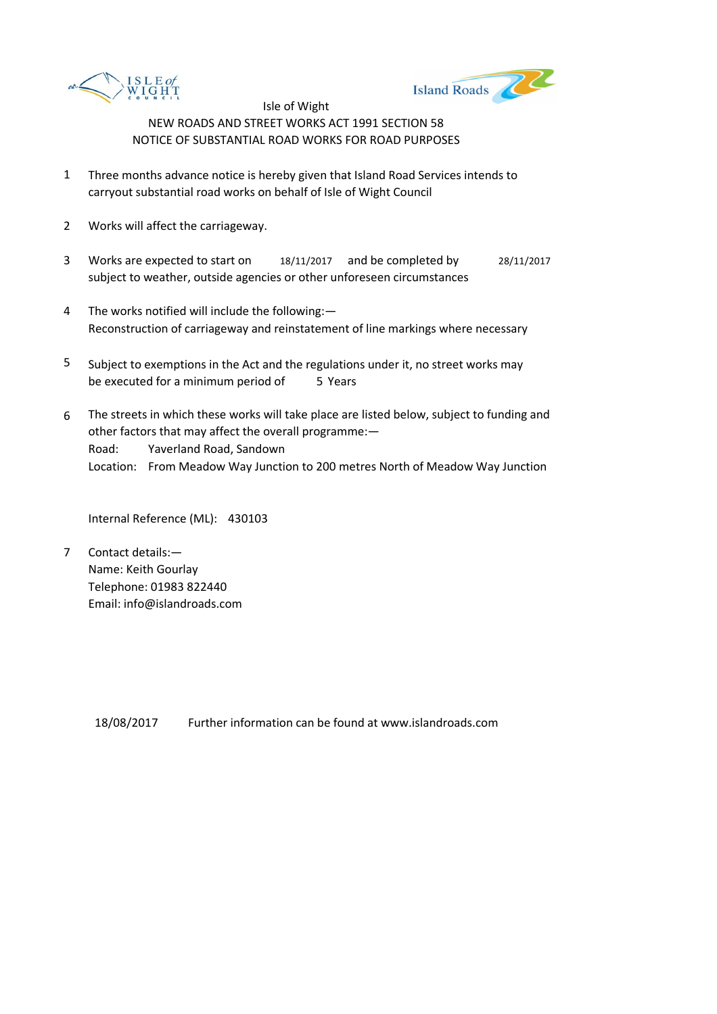



- 1 Three months advance notice is hereby given that Island Road Services intends to carryout substantial road works on behalf of Isle of Wight Council
- 2 Works will affect the carriageway.
- 3 Works are expected to start on 18/11/2017 and be completed by 28/11/2017 subject to weather, outside agencies or other unforeseen circumstances
- 4 The works notified will include the following:— Reconstruction of carriageway and reinstatement of line markings where necessary
- 5 be executed for a minimum period of 5 Years Subject to exemptions in the Act and the regulations under it, no street works may
- 6 Road: Yaverland Road, Sandown Location: From Meadow Way Junction to 200 metres North of Meadow Way Junction The streets in which these works will take place are listed below, subject to funding and other factors that may affect the overall programme:—

Internal Reference (ML): 430103

7 Contact details:— Name: Keith Gourlay Telephone: 01983 822440 Email: info@islandroads.com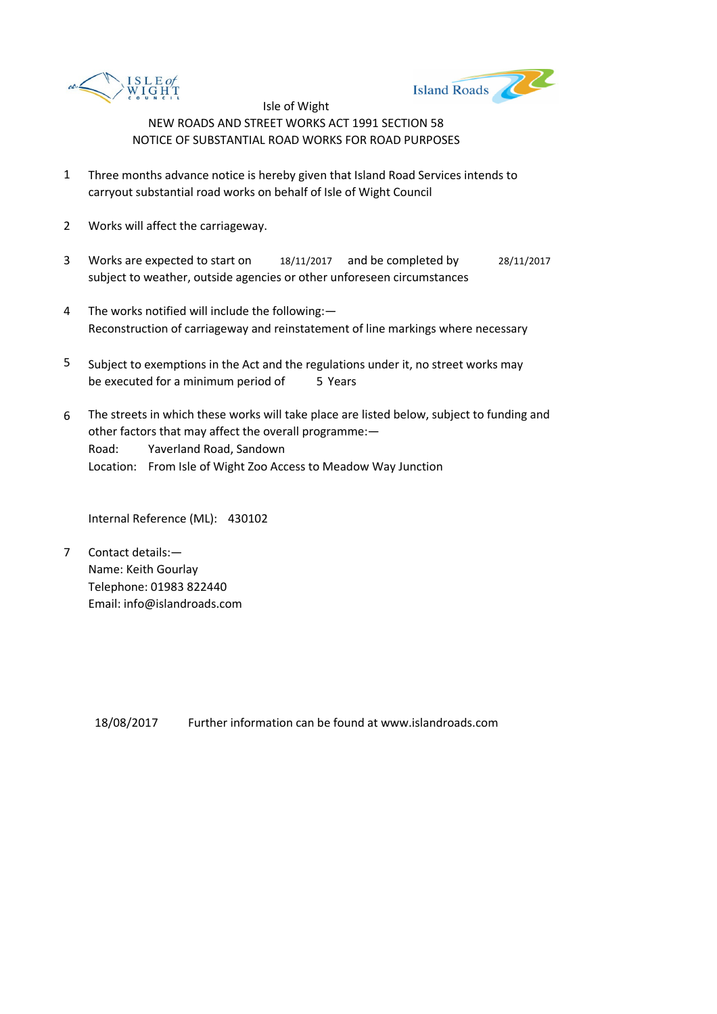



- 1 Three months advance notice is hereby given that Island Road Services intends to carryout substantial road works on behalf of Isle of Wight Council
- 2 Works will affect the carriageway.
- 3 Works are expected to start on 18/11/2017 and be completed by 28/11/2017 subject to weather, outside agencies or other unforeseen circumstances
- 4 The works notified will include the following:— Reconstruction of carriageway and reinstatement of line markings where necessary
- 5 be executed for a minimum period of 5 Years Subject to exemptions in the Act and the regulations under it, no street works may
- 6 Road: Yaverland Road, Sandown Location: From Isle of Wight Zoo Access to Meadow Way Junction The streets in which these works will take place are listed below, subject to funding and other factors that may affect the overall programme:—

Internal Reference (ML): 430102

7 Contact details:— Name: Keith Gourlay Telephone: 01983 822440 Email: info@islandroads.com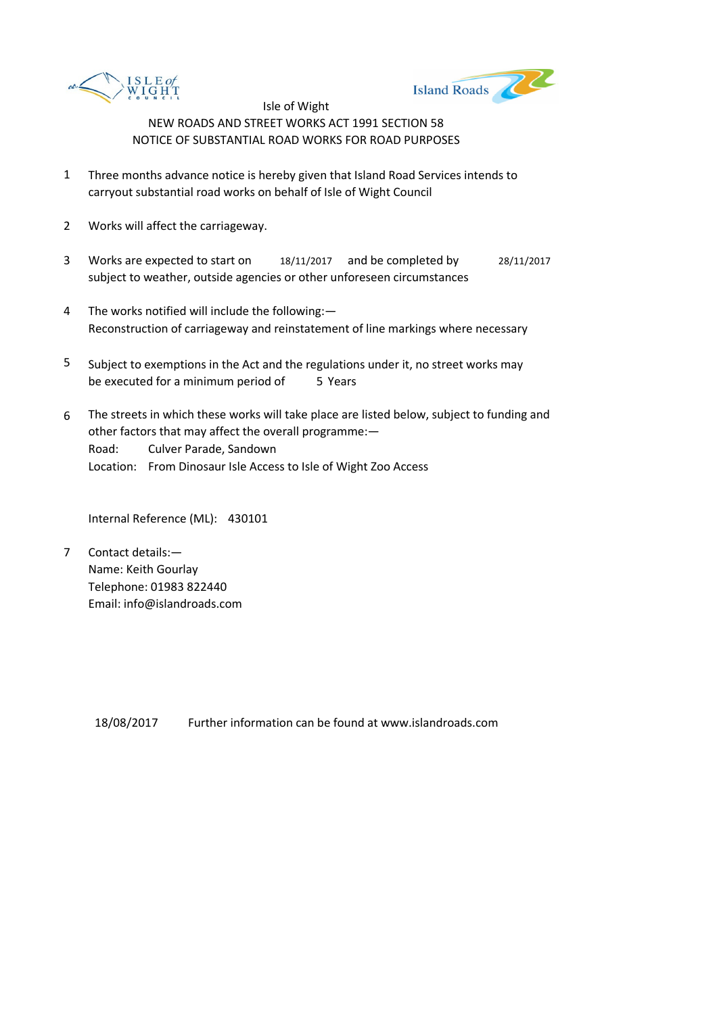



- 1 Three months advance notice is hereby given that Island Road Services intends to carryout substantial road works on behalf of Isle of Wight Council
- 2 Works will affect the carriageway.
- 3 Works are expected to start on 18/11/2017 and be completed by 28/11/2017 subject to weather, outside agencies or other unforeseen circumstances
- 4 The works notified will include the following:— Reconstruction of carriageway and reinstatement of line markings where necessary
- 5 be executed for a minimum period of 5 Years Subject to exemptions in the Act and the regulations under it, no street works may
- 6 Road: Culver Parade, Sandown Location: From Dinosaur Isle Access to Isle of Wight Zoo Access The streets in which these works will take place are listed below, subject to funding and other factors that may affect the overall programme:—

Internal Reference (ML): 430101

7 Contact details:— Name: Keith Gourlay Telephone: 01983 822440 Email: info@islandroads.com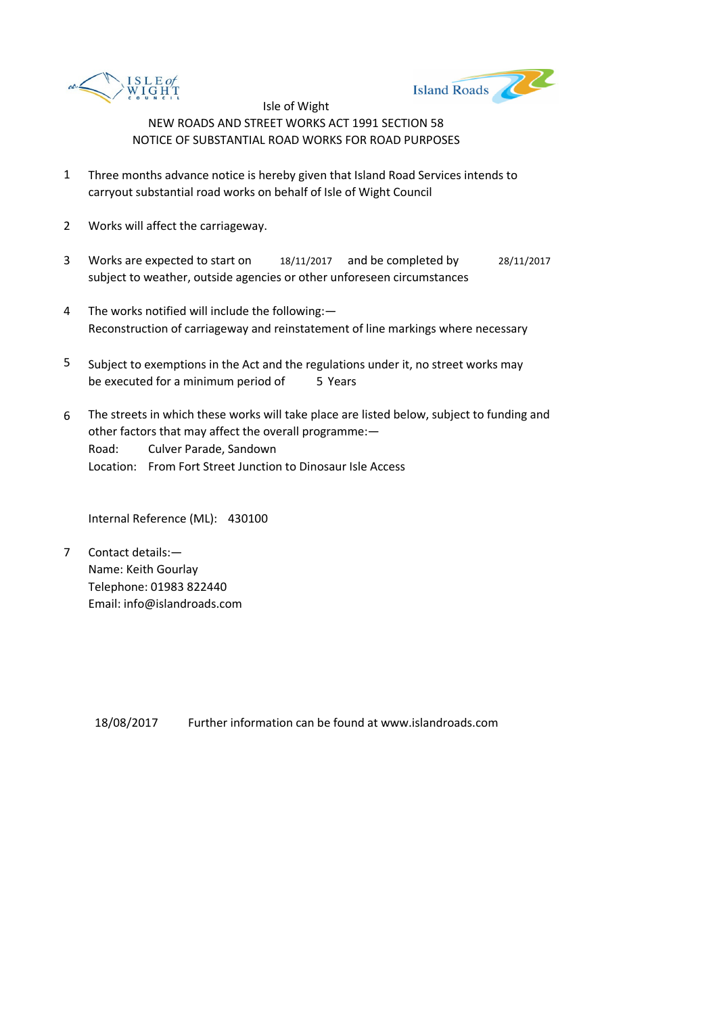



- 1 Three months advance notice is hereby given that Island Road Services intends to carryout substantial road works on behalf of Isle of Wight Council
- 2 Works will affect the carriageway.
- 3 Works are expected to start on 18/11/2017 and be completed by 28/11/2017 subject to weather, outside agencies or other unforeseen circumstances
- 4 The works notified will include the following:— Reconstruction of carriageway and reinstatement of line markings where necessary
- 5 be executed for a minimum period of 5 Years Subject to exemptions in the Act and the regulations under it, no street works may
- 6 Road: Culver Parade, Sandown Location: From Fort Street Junction to Dinosaur Isle Access The streets in which these works will take place are listed below, subject to funding and other factors that may affect the overall programme:—

Internal Reference (ML): 430100

7 Contact details:— Name: Keith Gourlay Telephone: 01983 822440 Email: info@islandroads.com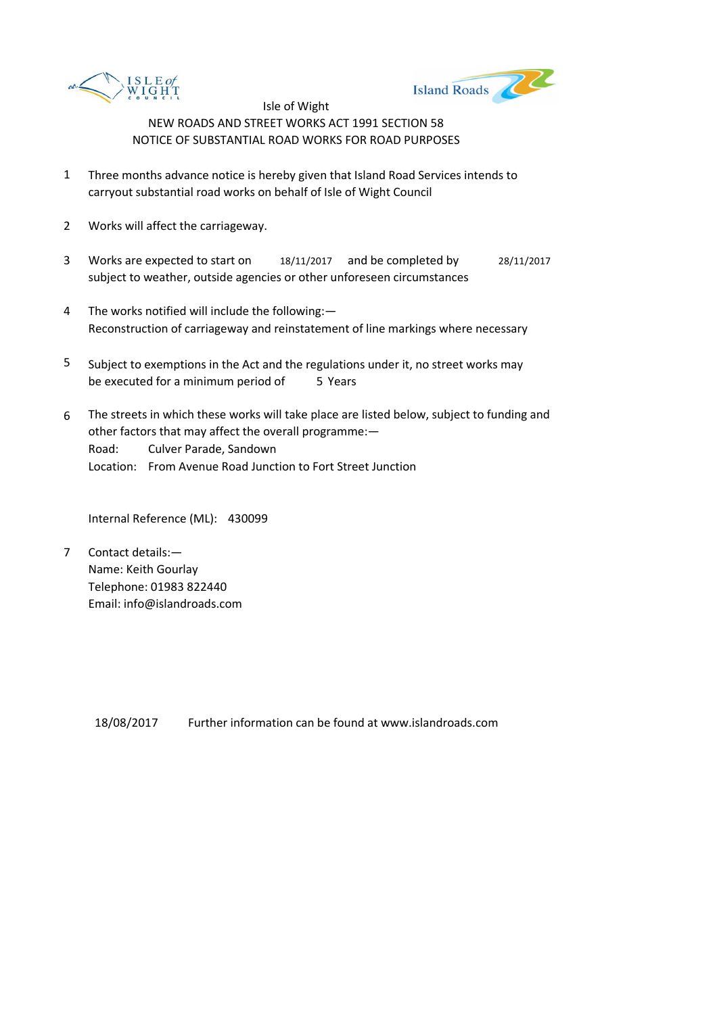



- 1 Three months advance notice is hereby given that Island Road Services intends to carryout substantial road works on behalf of Isle of Wight Council
- 2 Works will affect the carriageway.
- 3 Works are expected to start on 18/11/2017 and be completed by 28/11/2017 subject to weather, outside agencies or other unforeseen circumstances
- 4 The works notified will include the following:— Reconstruction of carriageway and reinstatement of line markings where necessary
- 5 be executed for a minimum period of 5 Years Subject to exemptions in the Act and the regulations under it, no street works may
- 6 Road: Culver Parade, Sandown Location: From Avenue Road Junction to Fort Street Junction The streets in which these works will take place are listed below, subject to funding and other factors that may affect the overall programme:—

Internal Reference (ML): 430099

7 Contact details:— Name: Keith Gourlay Telephone: 01983 822440 Email: info@islandroads.com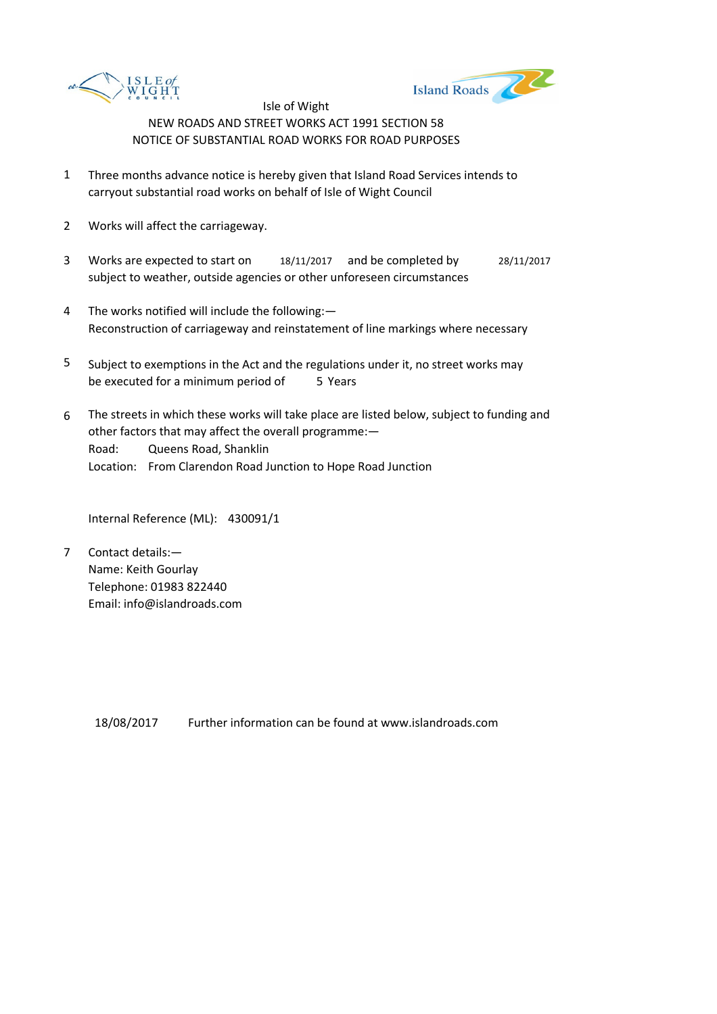



- 1 Three months advance notice is hereby given that Island Road Services intends to carryout substantial road works on behalf of Isle of Wight Council
- 2 Works will affect the carriageway.
- 3 Works are expected to start on 18/11/2017 and be completed by 28/11/2017 subject to weather, outside agencies or other unforeseen circumstances
- 4 The works notified will include the following:— Reconstruction of carriageway and reinstatement of line markings where necessary
- 5 be executed for a minimum period of 5 Years Subject to exemptions in the Act and the regulations under it, no street works may
- 6 Road: Queens Road, Shanklin Location: From Clarendon Road Junction to Hope Road Junction The streets in which these works will take place are listed below, subject to funding and other factors that may affect the overall programme:—

Internal Reference (ML): 430091/1

7 Contact details:— Name: Keith Gourlay Telephone: 01983 822440 Email: info@islandroads.com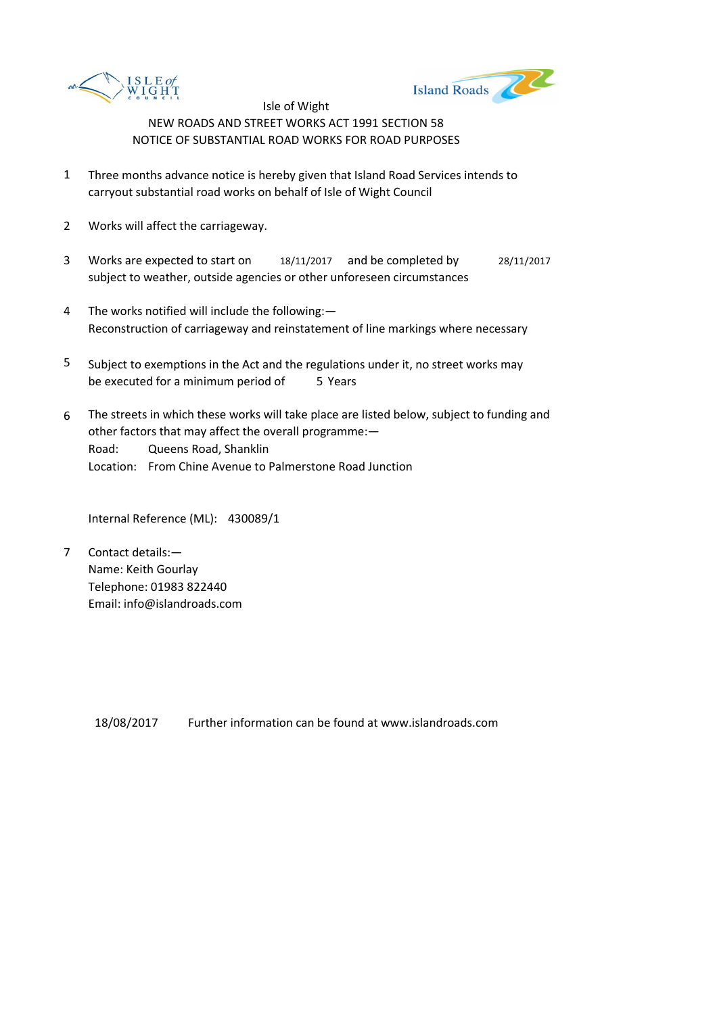



- 1 Three months advance notice is hereby given that Island Road Services intends to carryout substantial road works on behalf of Isle of Wight Council
- 2 Works will affect the carriageway.
- 3 Works are expected to start on 18/11/2017 and be completed by 28/11/2017 subject to weather, outside agencies or other unforeseen circumstances
- 4 The works notified will include the following:— Reconstruction of carriageway and reinstatement of line markings where necessary
- 5 be executed for a minimum period of 5 Years Subject to exemptions in the Act and the regulations under it, no street works may
- 6 Road: Queens Road, Shanklin Location: From Chine Avenue to Palmerstone Road Junction The streets in which these works will take place are listed below, subject to funding and other factors that may affect the overall programme:—

Internal Reference (ML): 430089/1

7 Contact details:— Name: Keith Gourlay Telephone: 01983 822440 Email: info@islandroads.com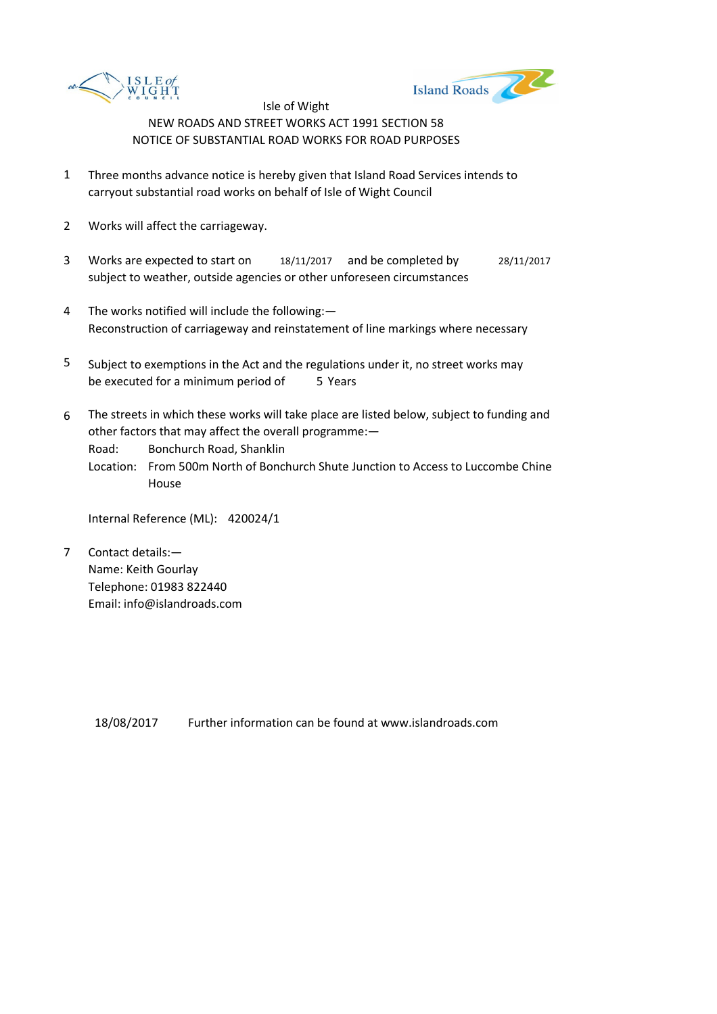



- 1 Three months advance notice is hereby given that Island Road Services intends to carryout substantial road works on behalf of Isle of Wight Council
- 2 Works will affect the carriageway.
- 3 Works are expected to start on 18/11/2017 and be completed by 28/11/2017 subject to weather, outside agencies or other unforeseen circumstances
- 4 The works notified will include the following:— Reconstruction of carriageway and reinstatement of line markings where necessary
- 5 be executed for a minimum period of 5 Years Subject to exemptions in the Act and the regulations under it, no street works may
- 6 The streets in which these works will take place are listed below, subject to funding and other factors that may affect the overall programme:—

Road: Bonchurch Road, Shanklin

Location: From 500m North of Bonchurch Shute Junction to Access to Luccombe Chine House

Internal Reference (ML): 420024/1

7 Contact details:— Name: Keith Gourlay Telephone: 01983 822440 Email: info@islandroads.com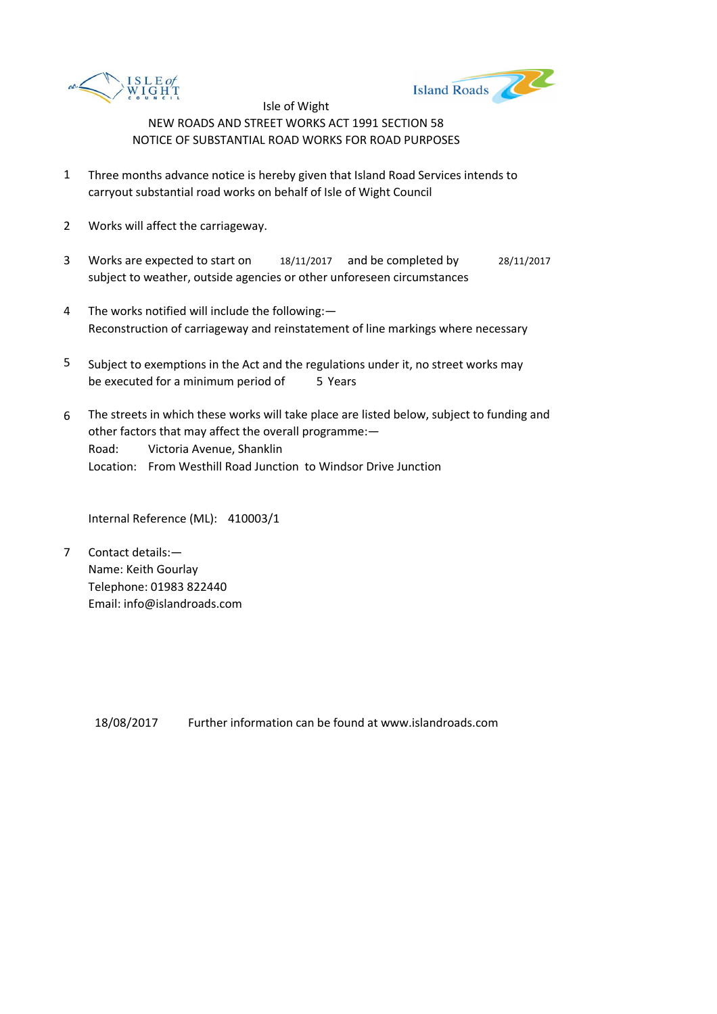



- 1 Three months advance notice is hereby given that Island Road Services intends to carryout substantial road works on behalf of Isle of Wight Council
- 2 Works will affect the carriageway.
- 3 Works are expected to start on 18/11/2017 and be completed by 28/11/2017 subject to weather, outside agencies or other unforeseen circumstances
- 4 The works notified will include the following:— Reconstruction of carriageway and reinstatement of line markings where necessary
- 5 be executed for a minimum period of 5 Years Subject to exemptions in the Act and the regulations under it, no street works may
- 6 Road: Victoria Avenue, Shanklin Location: From Westhill Road Junction to Windsor Drive Junction The streets in which these works will take place are listed below, subject to funding and other factors that may affect the overall programme:—

Internal Reference (ML): 410003/1

7 Contact details:— Name: Keith Gourlay Telephone: 01983 822440 Email: info@islandroads.com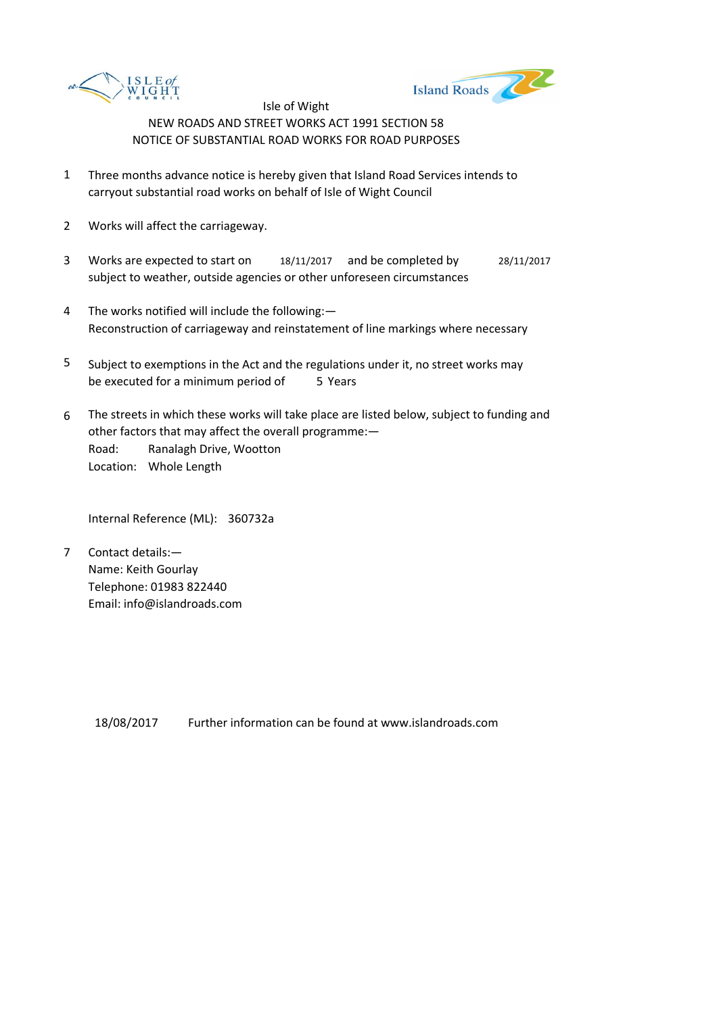



- 1 Three months advance notice is hereby given that Island Road Services intends to carryout substantial road works on behalf of Isle of Wight Council
- 2 Works will affect the carriageway.
- 3 Works are expected to start on 18/11/2017 and be completed by 28/11/2017 subject to weather, outside agencies or other unforeseen circumstances
- 4 The works notified will include the following:— Reconstruction of carriageway and reinstatement of line markings where necessary
- 5 be executed for a minimum period of 5 Years Subject to exemptions in the Act and the regulations under it, no street works may
- 6 Road: Ranalagh Drive, Wootton Location: Whole Length The streets in which these works will take place are listed below, subject to funding and other factors that may affect the overall programme:—

Internal Reference (ML): 360732a

7 Contact details:— Name: Keith Gourlay Telephone: 01983 822440 Email: info@islandroads.com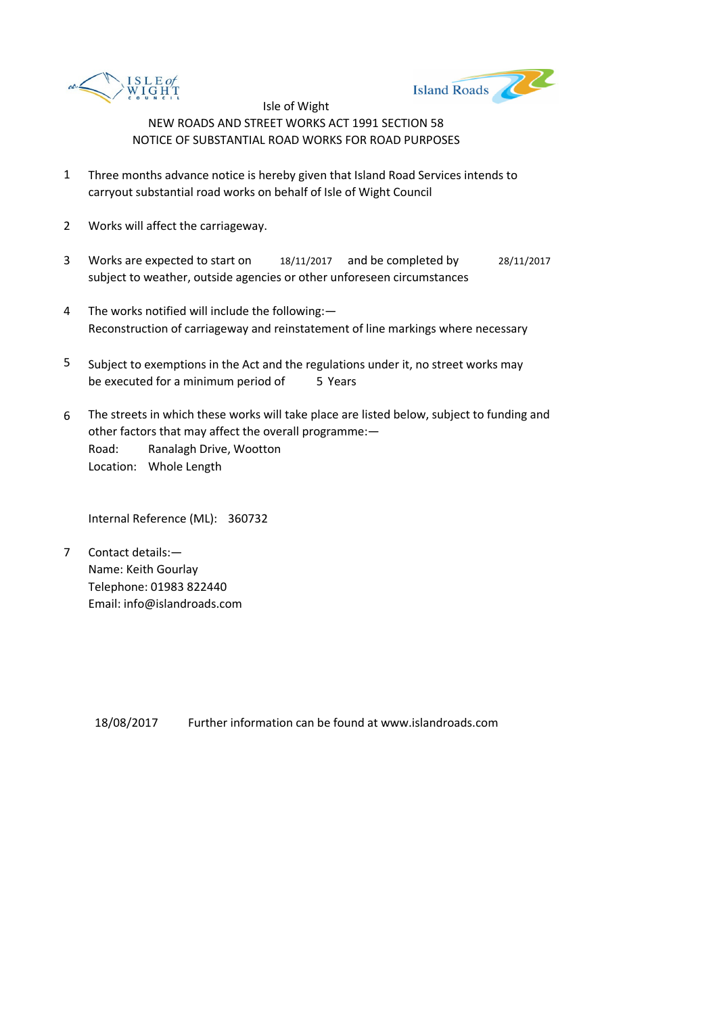



- 1 Three months advance notice is hereby given that Island Road Services intends to carryout substantial road works on behalf of Isle of Wight Council
- 2 Works will affect the carriageway.
- 3 Works are expected to start on 18/11/2017 and be completed by 28/11/2017 subject to weather, outside agencies or other unforeseen circumstances
- 4 The works notified will include the following:— Reconstruction of carriageway and reinstatement of line markings where necessary
- 5 be executed for a minimum period of 5 Years Subject to exemptions in the Act and the regulations under it, no street works may
- 6 Road: Ranalagh Drive, Wootton Location: Whole Length The streets in which these works will take place are listed below, subject to funding and other factors that may affect the overall programme:—

Internal Reference (ML): 360732

7 Contact details:— Name: Keith Gourlay Telephone: 01983 822440 Email: info@islandroads.com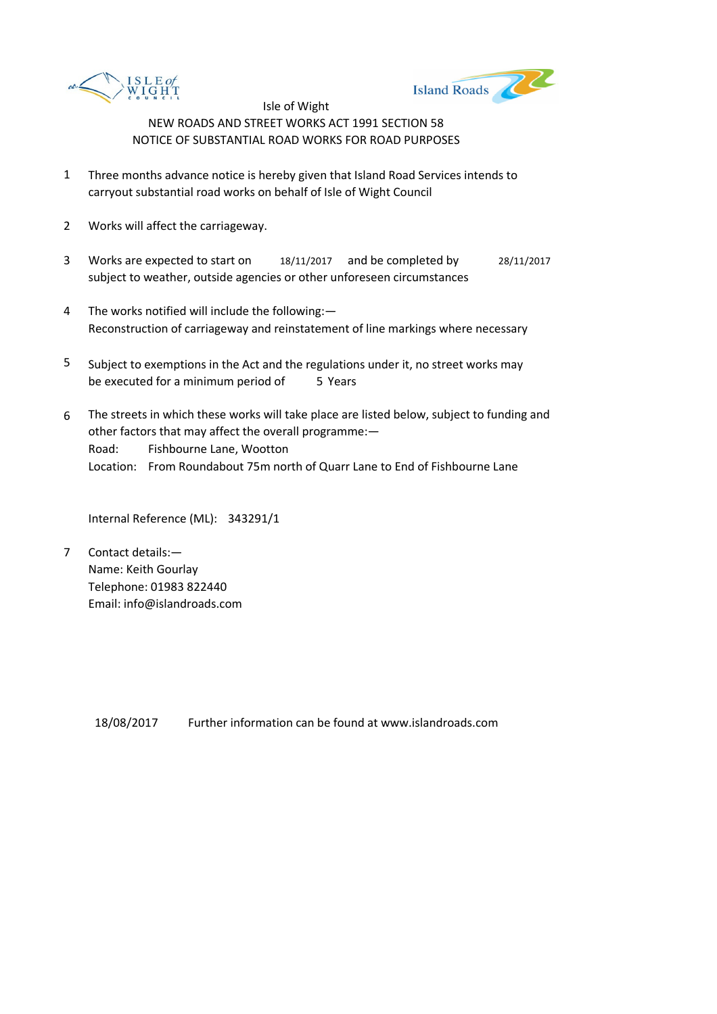



- 1 Three months advance notice is hereby given that Island Road Services intends to carryout substantial road works on behalf of Isle of Wight Council
- 2 Works will affect the carriageway.
- 3 Works are expected to start on 18/11/2017 and be completed by 28/11/2017 subject to weather, outside agencies or other unforeseen circumstances
- 4 The works notified will include the following:— Reconstruction of carriageway and reinstatement of line markings where necessary
- 5 be executed for a minimum period of 5 Years Subject to exemptions in the Act and the regulations under it, no street works may
- 6 Road: Fishbourne Lane, Wootton Location: From Roundabout 75m north of Quarr Lane to End of Fishbourne Lane The streets in which these works will take place are listed below, subject to funding and other factors that may affect the overall programme:—

Internal Reference (ML): 343291/1

7 Contact details:— Name: Keith Gourlay Telephone: 01983 822440 Email: info@islandroads.com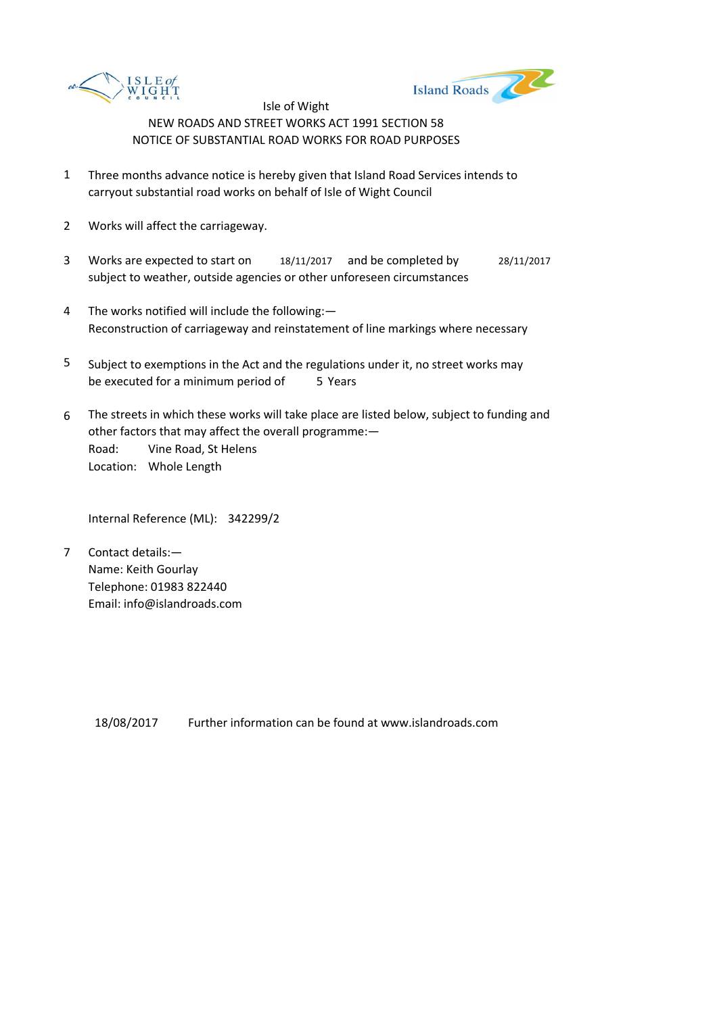



- 1 Three months advance notice is hereby given that Island Road Services intends to carryout substantial road works on behalf of Isle of Wight Council
- 2 Works will affect the carriageway.
- 3 Works are expected to start on 18/11/2017 and be completed by 28/11/2017 subject to weather, outside agencies or other unforeseen circumstances
- 4 The works notified will include the following:— Reconstruction of carriageway and reinstatement of line markings where necessary
- 5 be executed for a minimum period of 5 Years Subject to exemptions in the Act and the regulations under it, no street works may
- 6 Road: Vine Road, St Helens Location: Whole Length The streets in which these works will take place are listed below, subject to funding and other factors that may affect the overall programme:—

Internal Reference (ML): 342299/2

7 Contact details:— Name: Keith Gourlay Telephone: 01983 822440 Email: info@islandroads.com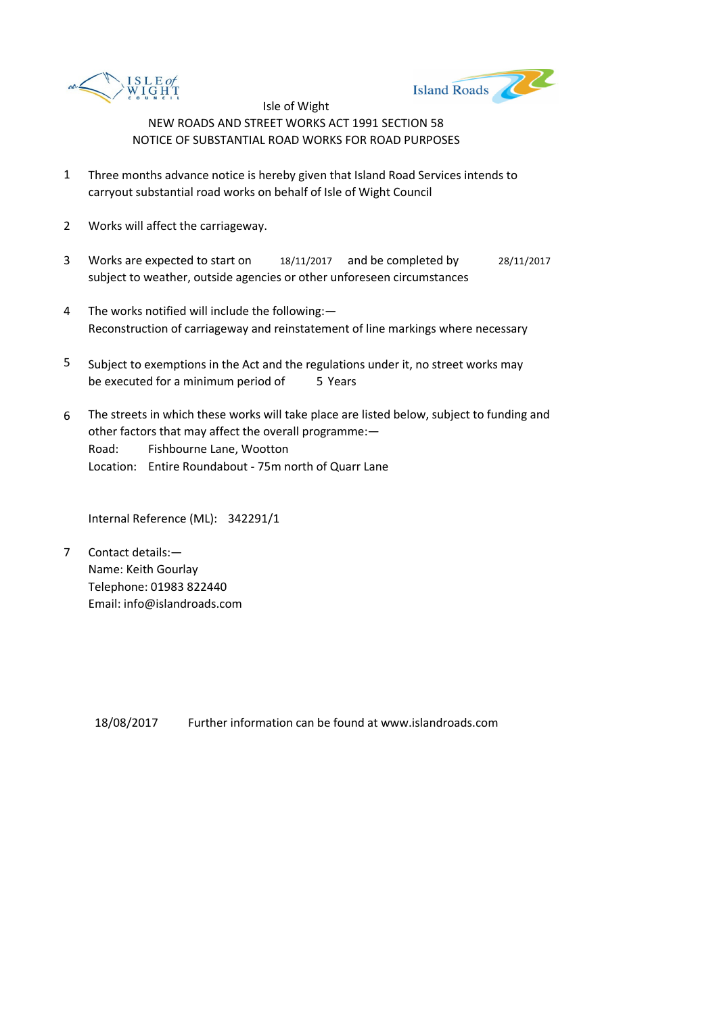



- 1 Three months advance notice is hereby given that Island Road Services intends to carryout substantial road works on behalf of Isle of Wight Council
- 2 Works will affect the carriageway.
- 3 Works are expected to start on 18/11/2017 and be completed by 28/11/2017 subject to weather, outside agencies or other unforeseen circumstances
- 4 The works notified will include the following:— Reconstruction of carriageway and reinstatement of line markings where necessary
- 5 be executed for a minimum period of 5 Years Subject to exemptions in the Act and the regulations under it, no street works may
- 6 Road: Fishbourne Lane, Wootton Location: Entire Roundabout - 75m north of Quarr Lane The streets in which these works will take place are listed below, subject to funding and other factors that may affect the overall programme:—

Internal Reference (ML): 342291/1

7 Contact details:— Name: Keith Gourlay Telephone: 01983 822440 Email: info@islandroads.com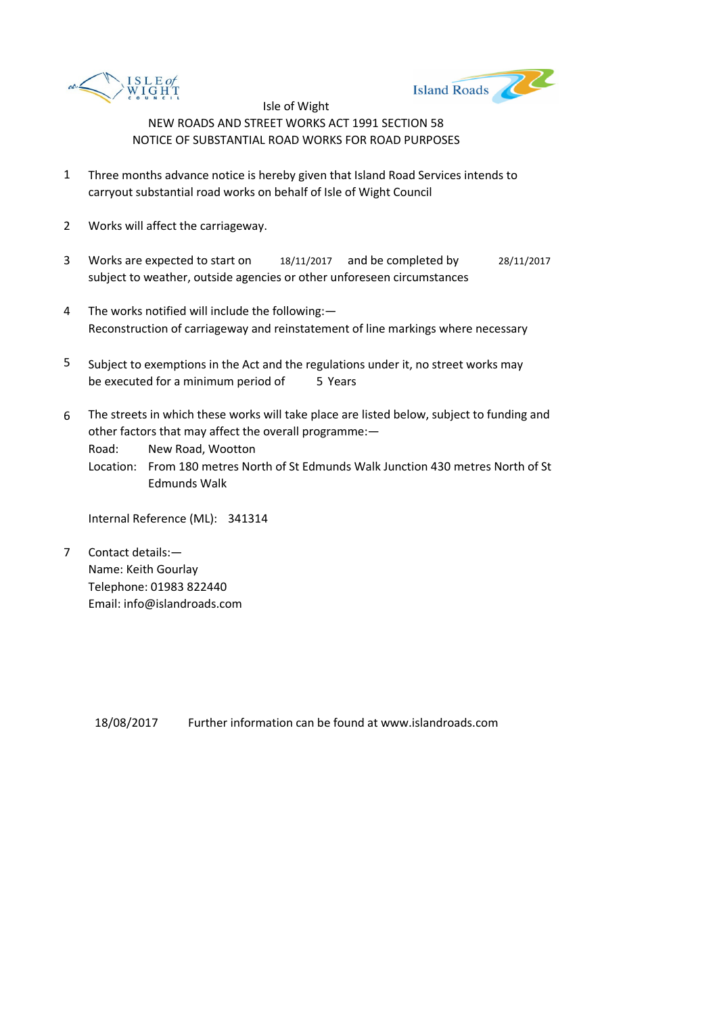



- 1 Three months advance notice is hereby given that Island Road Services intends to carryout substantial road works on behalf of Isle of Wight Council
- 2 Works will affect the carriageway.
- 3 Works are expected to start on 18/11/2017 and be completed by 28/11/2017 subject to weather, outside agencies or other unforeseen circumstances
- 4 The works notified will include the following:— Reconstruction of carriageway and reinstatement of line markings where necessary
- 5 be executed for a minimum period of 5 Years Subject to exemptions in the Act and the regulations under it, no street works may
- 6 The streets in which these works will take place are listed below, subject to funding and other factors that may affect the overall programme:—

Road: New Road, Wootton

Location: From 180 metres North of St Edmunds Walk Junction 430 metres North of St Edmunds Walk

Internal Reference (ML): 341314

7 Contact details:— Name: Keith Gourlay Telephone: 01983 822440 Email: info@islandroads.com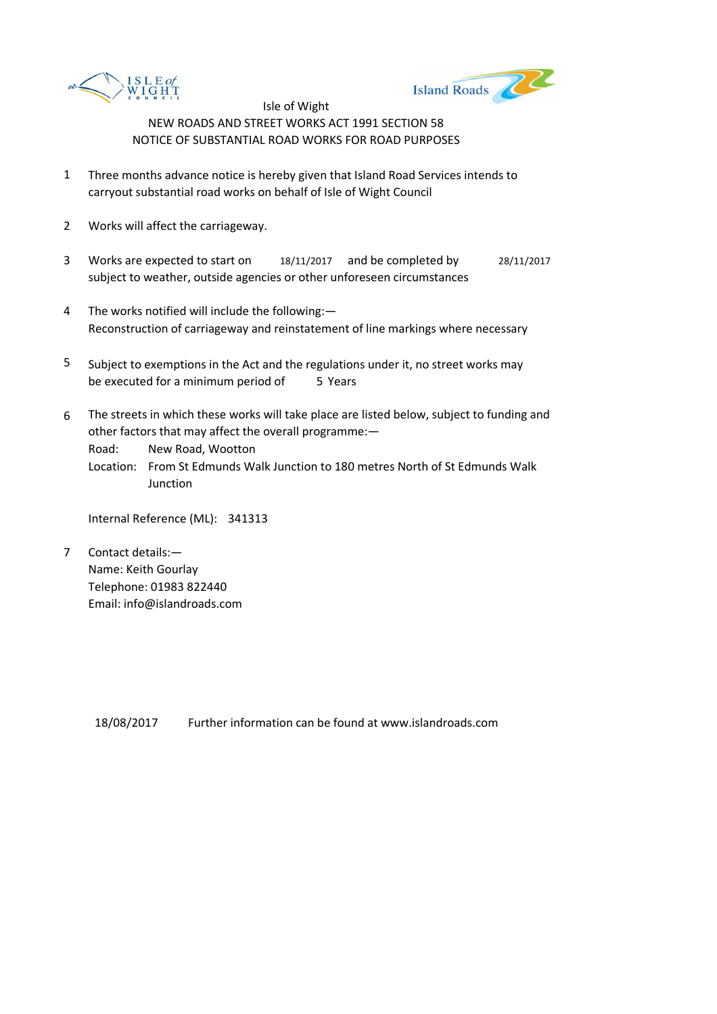



- 1 Three months advance notice is hereby given that Island Road Services intends to carryout substantial road works on behalf of Isle of Wight Council
- 2 Works will affect the carriageway.
- 3 Works are expected to start on 18/11/2017 and be completed by 28/11/2017 subject to weather, outside agencies or other unforeseen circumstances
- 4 The works notified will include the following:— Reconstruction of carriageway and reinstatement of line markings where necessary
- 5 be executed for a minimum period of 5 Years Subject to exemptions in the Act and the regulations under it, no street works may
- 6 The streets in which these works will take place are listed below, subject to funding and other factors that may affect the overall programme:—

Road: New Road, Wootton

Location: From St Edmunds Walk Junction to 180 metres North of St Edmunds Walk Junction

Internal Reference (ML): 341313

7 Contact details:— Name: Keith Gourlay Telephone: 01983 822440 Email: info@islandroads.com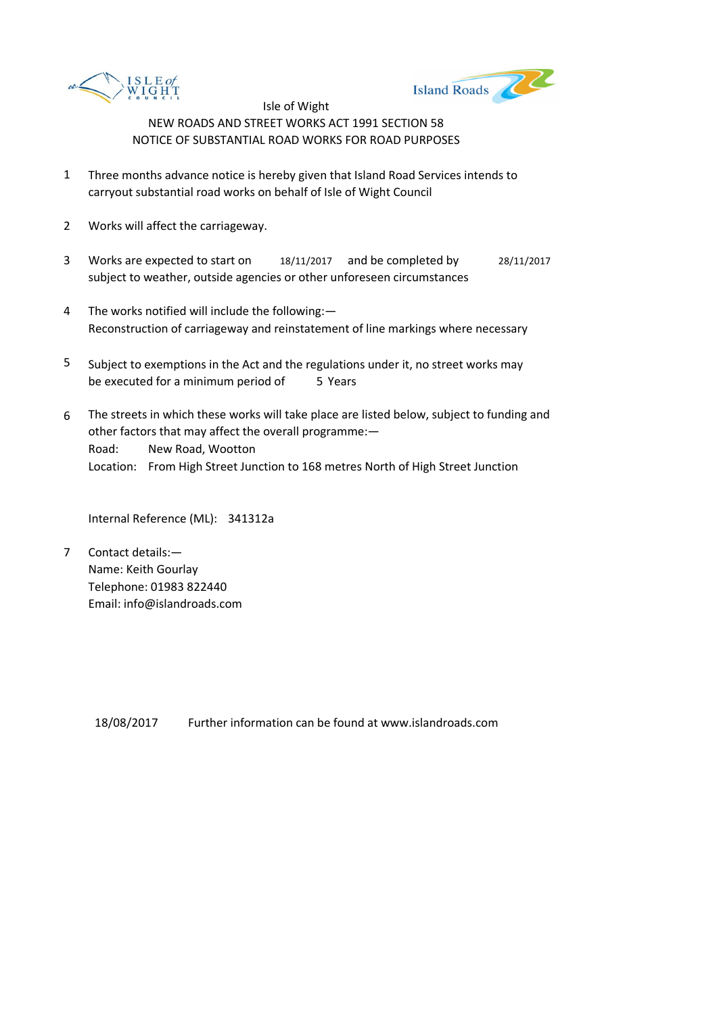



- 1 Three months advance notice is hereby given that Island Road Services intends to carryout substantial road works on behalf of Isle of Wight Council
- 2 Works will affect the carriageway.
- 3 Works are expected to start on 18/11/2017 and be completed by 28/11/2017 subject to weather, outside agencies or other unforeseen circumstances
- 4 The works notified will include the following:— Reconstruction of carriageway and reinstatement of line markings where necessary
- 5 be executed for a minimum period of 5 Years Subject to exemptions in the Act and the regulations under it, no street works may
- 6 Road: New Road, Wootton Location: From High Street Junction to 168 metres North of High Street Junction The streets in which these works will take place are listed below, subject to funding and other factors that may affect the overall programme:—

Internal Reference (ML): 341312a

7 Contact details:— Name: Keith Gourlay Telephone: 01983 822440 Email: info@islandroads.com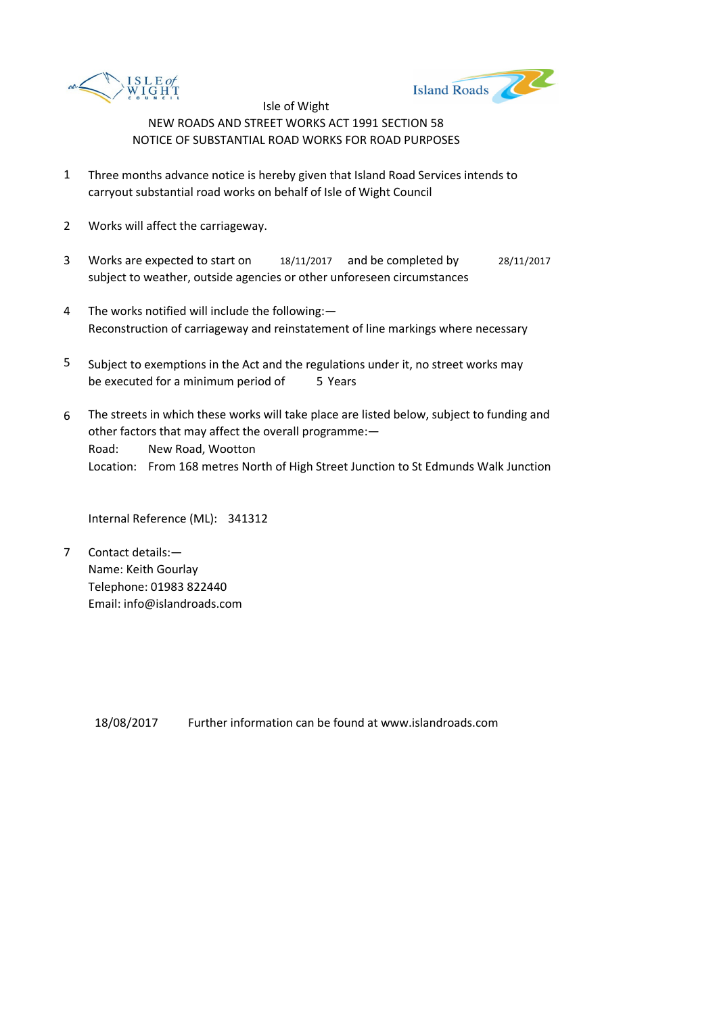



- 1 Three months advance notice is hereby given that Island Road Services intends to carryout substantial road works on behalf of Isle of Wight Council
- 2 Works will affect the carriageway.
- 3 Works are expected to start on 18/11/2017 and be completed by 28/11/2017 subject to weather, outside agencies or other unforeseen circumstances
- 4 The works notified will include the following:— Reconstruction of carriageway and reinstatement of line markings where necessary
- 5 be executed for a minimum period of 5 Years Subject to exemptions in the Act and the regulations under it, no street works may
- 6 Road: New Road, Wootton Location: From 168 metres North of High Street Junction to St Edmunds Walk Junction The streets in which these works will take place are listed below, subject to funding and other factors that may affect the overall programme:—

Internal Reference (ML): 341312

7 Contact details:— Name: Keith Gourlay Telephone: 01983 822440 Email: info@islandroads.com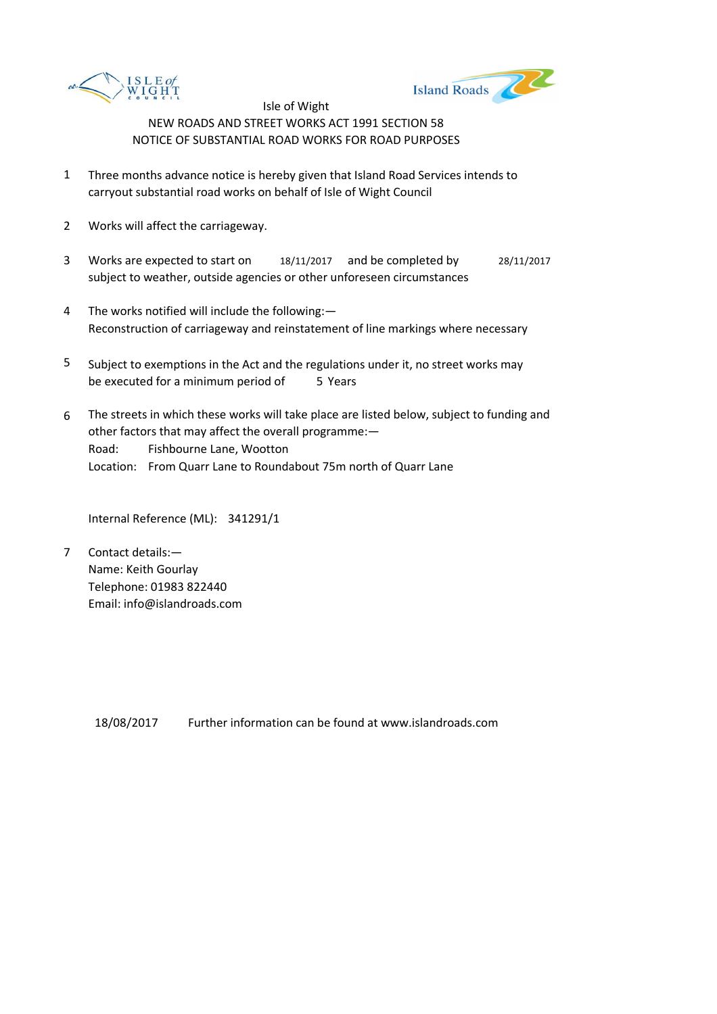



- 1 Three months advance notice is hereby given that Island Road Services intends to carryout substantial road works on behalf of Isle of Wight Council
- 2 Works will affect the carriageway.
- 3 Works are expected to start on 18/11/2017 and be completed by 28/11/2017 subject to weather, outside agencies or other unforeseen circumstances
- 4 The works notified will include the following:— Reconstruction of carriageway and reinstatement of line markings where necessary
- 5 be executed for a minimum period of 5 Years Subject to exemptions in the Act and the regulations under it, no street works may
- 6 Road: Fishbourne Lane, Wootton Location: From Quarr Lane to Roundabout 75m north of Quarr Lane The streets in which these works will take place are listed below, subject to funding and other factors that may affect the overall programme:—

Internal Reference (ML): 341291/1

7 Contact details:— Name: Keith Gourlay Telephone: 01983 822440 Email: info@islandroads.com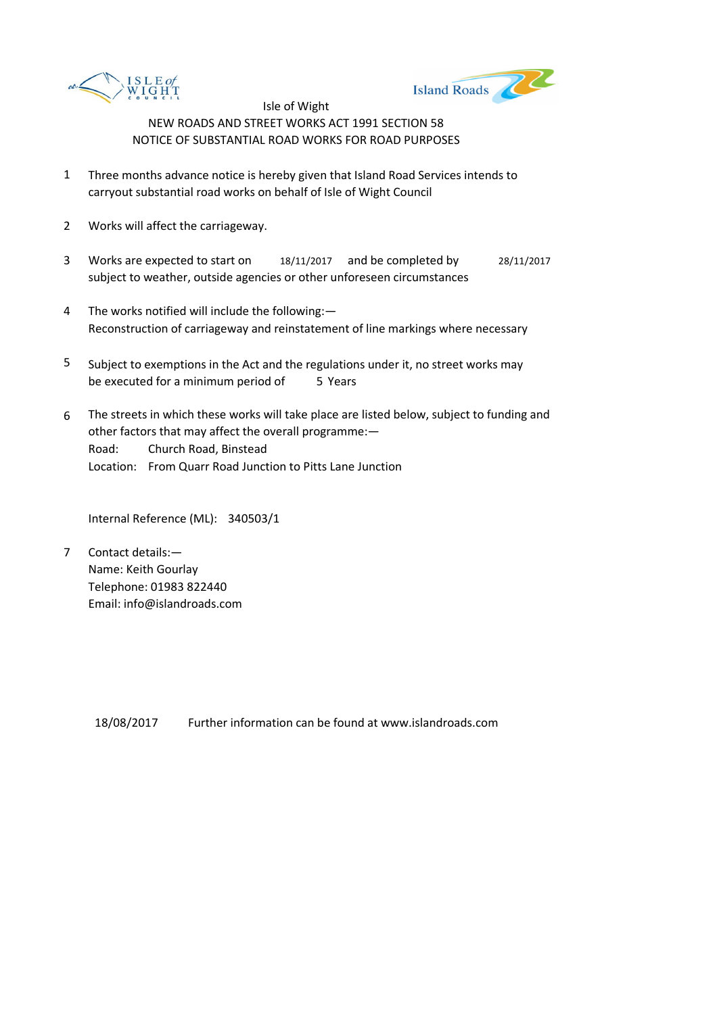



- 1 Three months advance notice is hereby given that Island Road Services intends to carryout substantial road works on behalf of Isle of Wight Council
- 2 Works will affect the carriageway.
- 3 Works are expected to start on 18/11/2017 and be completed by 28/11/2017 subject to weather, outside agencies or other unforeseen circumstances
- 4 The works notified will include the following:— Reconstruction of carriageway and reinstatement of line markings where necessary
- 5 be executed for a minimum period of 5 Years Subject to exemptions in the Act and the regulations under it, no street works may
- 6 Road: Church Road, Binstead Location: From Quarr Road Junction to Pitts Lane Junction The streets in which these works will take place are listed below, subject to funding and other factors that may affect the overall programme:—

Internal Reference (ML): 340503/1

7 Contact details:— Name: Keith Gourlay Telephone: 01983 822440 Email: info@islandroads.com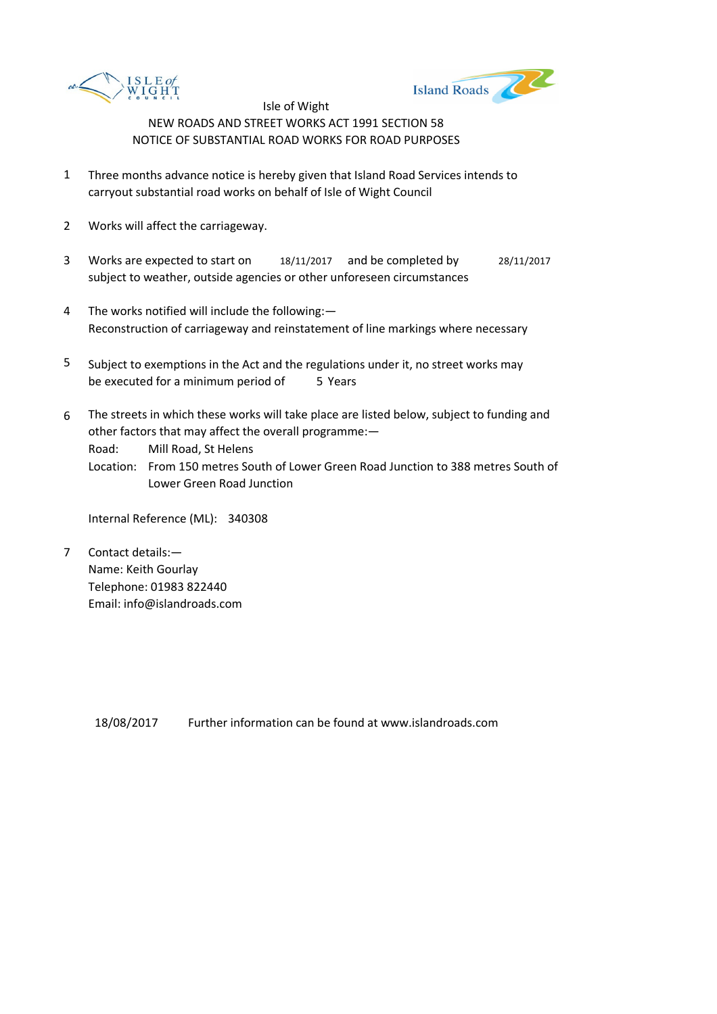



- 1 Three months advance notice is hereby given that Island Road Services intends to carryout substantial road works on behalf of Isle of Wight Council
- 2 Works will affect the carriageway.
- 3 Works are expected to start on 18/11/2017 and be completed by 28/11/2017 subject to weather, outside agencies or other unforeseen circumstances
- 4 The works notified will include the following:— Reconstruction of carriageway and reinstatement of line markings where necessary
- 5 be executed for a minimum period of 5 Years Subject to exemptions in the Act and the regulations under it, no street works may
- 6 The streets in which these works will take place are listed below, subject to funding and other factors that may affect the overall programme:—

Road: Mill Road, St Helens

Location: From 150 metres South of Lower Green Road Junction to 388 metres South of Lower Green Road Junction

Internal Reference (ML): 340308

7 Contact details:— Name: Keith Gourlay Telephone: 01983 822440 Email: info@islandroads.com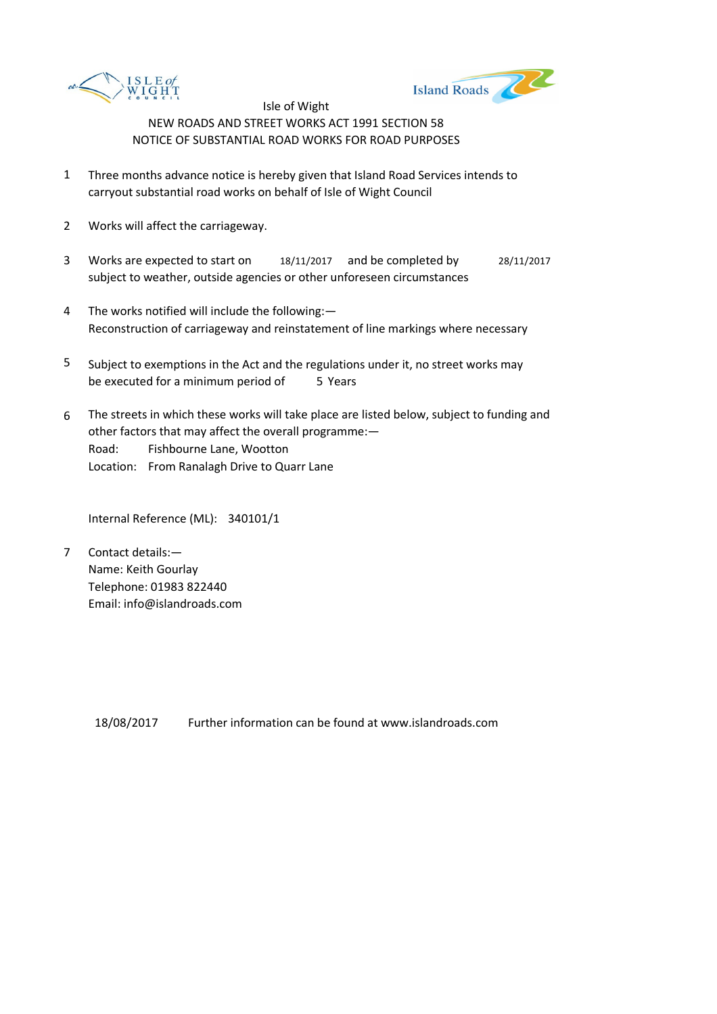



- 1 Three months advance notice is hereby given that Island Road Services intends to carryout substantial road works on behalf of Isle of Wight Council
- 2 Works will affect the carriageway.
- 3 Works are expected to start on 18/11/2017 and be completed by 28/11/2017 subject to weather, outside agencies or other unforeseen circumstances
- 4 The works notified will include the following:— Reconstruction of carriageway and reinstatement of line markings where necessary
- 5 be executed for a minimum period of 5 Years Subject to exemptions in the Act and the regulations under it, no street works may
- 6 Road: Fishbourne Lane, Wootton Location: From Ranalagh Drive to Quarr Lane The streets in which these works will take place are listed below, subject to funding and other factors that may affect the overall programme:—

Internal Reference (ML): 340101/1

7 Contact details:— Name: Keith Gourlay Telephone: 01983 822440 Email: info@islandroads.com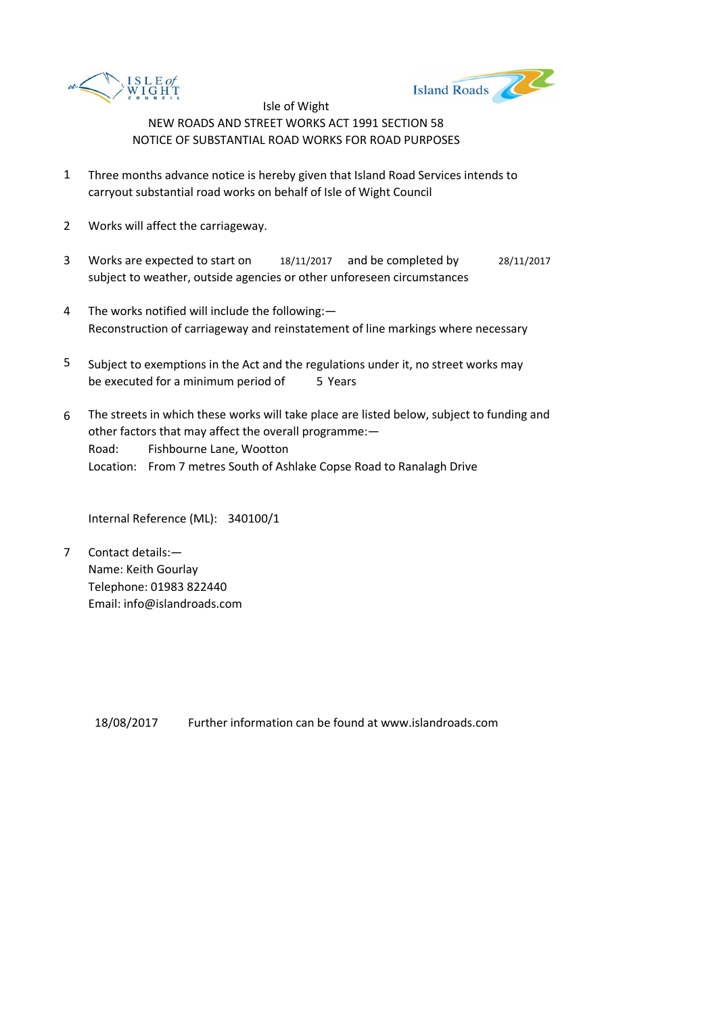



- 1 Three months advance notice is hereby given that Island Road Services intends to carryout substantial road works on behalf of Isle of Wight Council
- 2 Works will affect the carriageway.
- 3 Works are expected to start on 18/11/2017 and be completed by 28/11/2017 subject to weather, outside agencies or other unforeseen circumstances
- 4 The works notified will include the following:— Reconstruction of carriageway and reinstatement of line markings where necessary
- 5 be executed for a minimum period of 5 Years Subject to exemptions in the Act and the regulations under it, no street works may
- 6 Road: Fishbourne Lane, Wootton Location: From 7 metres South of Ashlake Copse Road to Ranalagh Drive The streets in which these works will take place are listed below, subject to funding and other factors that may affect the overall programme:—

Internal Reference (ML): 340100/1

7 Contact details:— Name: Keith Gourlay Telephone: 01983 822440 Email: info@islandroads.com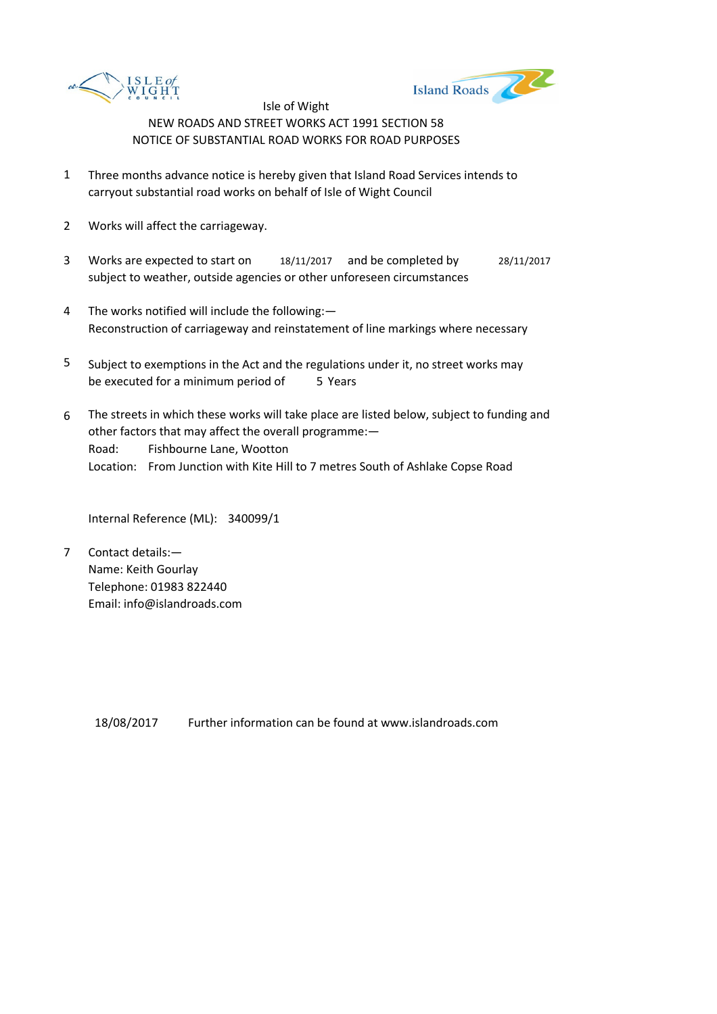



- 1 Three months advance notice is hereby given that Island Road Services intends to carryout substantial road works on behalf of Isle of Wight Council
- 2 Works will affect the carriageway.
- 3 Works are expected to start on 18/11/2017 and be completed by 28/11/2017 subject to weather, outside agencies or other unforeseen circumstances
- 4 The works notified will include the following:— Reconstruction of carriageway and reinstatement of line markings where necessary
- 5 be executed for a minimum period of 5 Years Subject to exemptions in the Act and the regulations under it, no street works may
- 6 Road: Fishbourne Lane, Wootton Location: From Junction with Kite Hill to 7 metres South of Ashlake Copse Road The streets in which these works will take place are listed below, subject to funding and other factors that may affect the overall programme:—

Internal Reference (ML): 340099/1

7 Contact details:— Name: Keith Gourlay Telephone: 01983 822440 Email: info@islandroads.com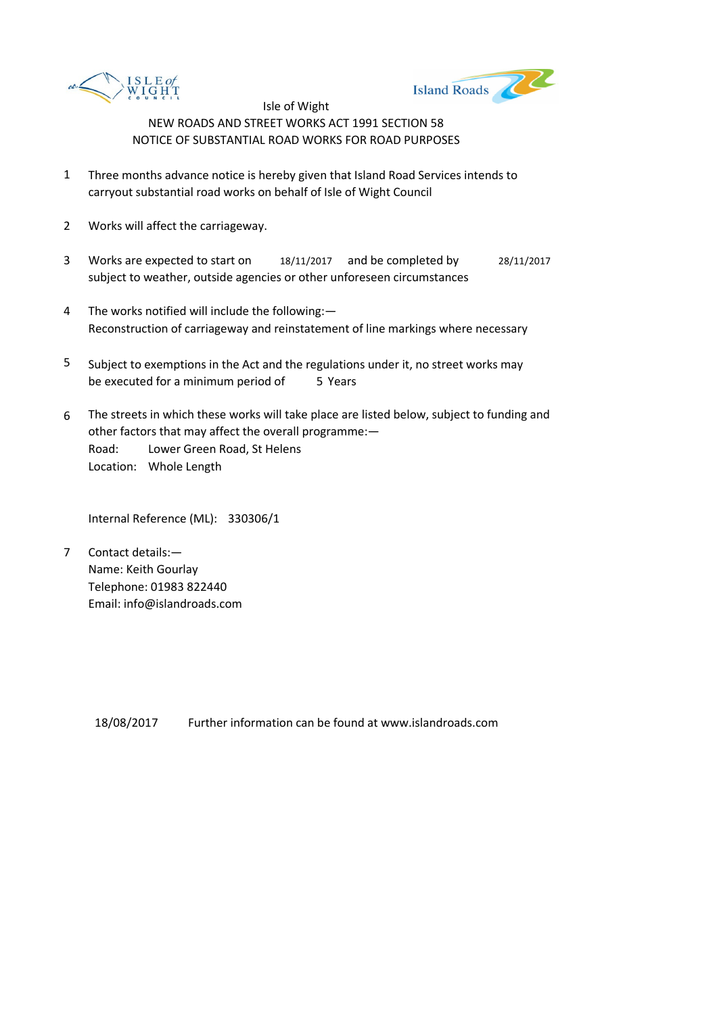



- 1 Three months advance notice is hereby given that Island Road Services intends to carryout substantial road works on behalf of Isle of Wight Council
- 2 Works will affect the carriageway.
- 3 Works are expected to start on 18/11/2017 and be completed by 28/11/2017 subject to weather, outside agencies or other unforeseen circumstances
- 4 The works notified will include the following:— Reconstruction of carriageway and reinstatement of line markings where necessary
- 5 be executed for a minimum period of 5 Years Subject to exemptions in the Act and the regulations under it, no street works may
- 6 Road: Lower Green Road, St Helens Location: Whole Length The streets in which these works will take place are listed below, subject to funding and other factors that may affect the overall programme:—

Internal Reference (ML): 330306/1

7 Contact details:— Name: Keith Gourlay Telephone: 01983 822440 Email: info@islandroads.com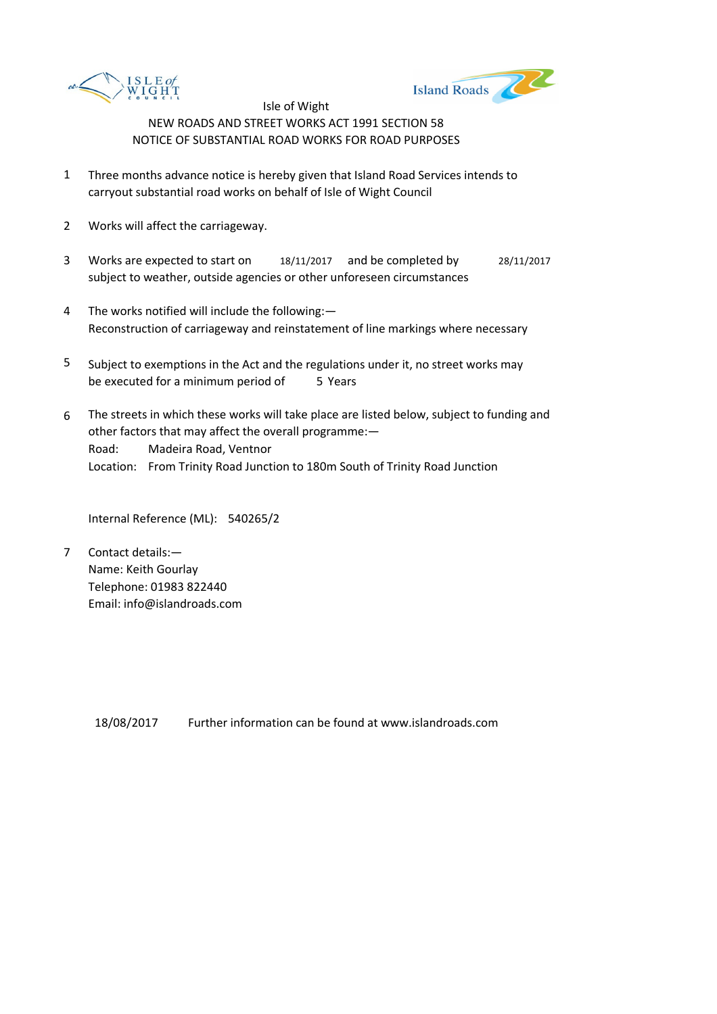



- 1 Three months advance notice is hereby given that Island Road Services intends to carryout substantial road works on behalf of Isle of Wight Council
- 2 Works will affect the carriageway.
- 3 Works are expected to start on 18/11/2017 and be completed by 28/11/2017 subject to weather, outside agencies or other unforeseen circumstances
- 4 The works notified will include the following:— Reconstruction of carriageway and reinstatement of line markings where necessary
- 5 be executed for a minimum period of 5 Years Subject to exemptions in the Act and the regulations under it, no street works may
- 6 Road: Madeira Road, Ventnor Location: From Trinity Road Junction to 180m South of Trinity Road Junction The streets in which these works will take place are listed below, subject to funding and other factors that may affect the overall programme:—

Internal Reference (ML): 540265/2

7 Contact details:— Name: Keith Gourlay Telephone: 01983 822440 Email: info@islandroads.com